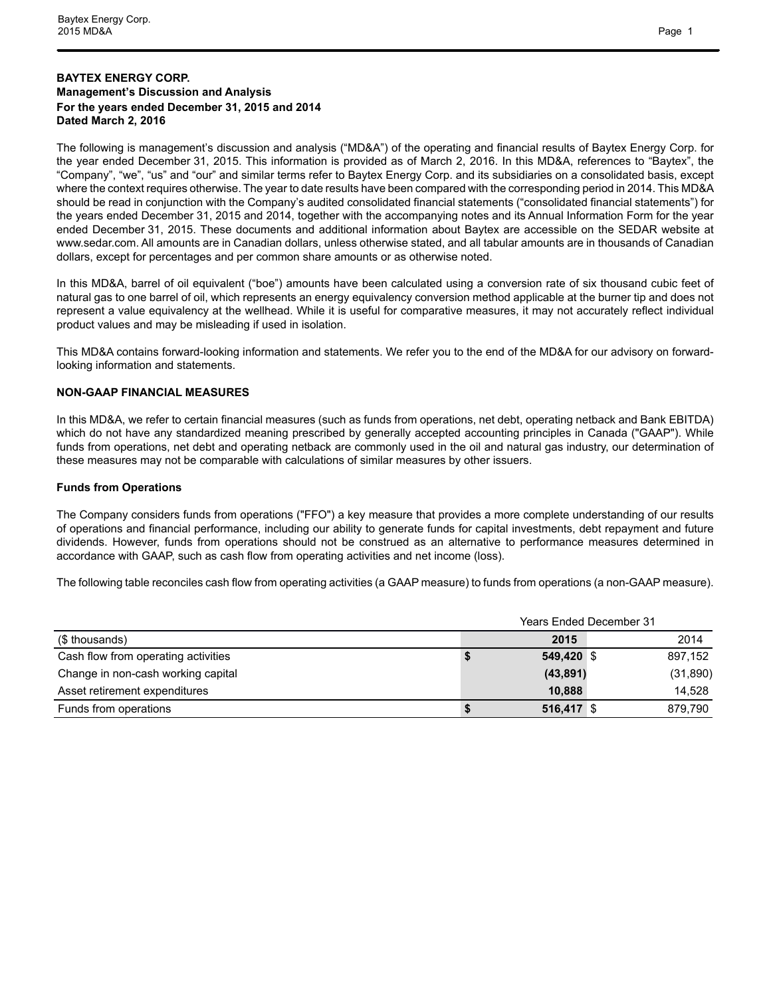## **BAYTEX ENERGY CORP. Management's Discussion and Analysis For the years ended December 31, 2015 and 2014 Dated March 2, 2016**

The following is management's discussion and analysis ("MD&A") of the operating and financial results of Baytex Energy Corp. for the year ended December 31, 2015. This information is provided as of March 2, 2016. In this MD&A, references to "Baytex", the "Company", "we", "us" and "our" and similar terms refer to Baytex Energy Corp. and its subsidiaries on a consolidated basis, except where the context requires otherwise. The year to date results have been compared with the corresponding period in 2014. This MD&A should be read in conjunction with the Company's audited consolidated financial statements ("consolidated financial statements") for the years ended December 31, 2015 and 2014, together with the accompanying notes and its Annual Information Form for the year ended December 31, 2015. These documents and additional information about Baytex are accessible on the SEDAR website at www.sedar.com. All amounts are in Canadian dollars, unless otherwise stated, and all tabular amounts are in thousands of Canadian dollars, except for percentages and per common share amounts or as otherwise noted.

In this MD&A, barrel of oil equivalent ("boe") amounts have been calculated using a conversion rate of six thousand cubic feet of natural gas to one barrel of oil, which represents an energy equivalency conversion method applicable at the burner tip and does not represent a value equivalency at the wellhead. While it is useful for comparative measures, it may not accurately reflect individual product values and may be misleading if used in isolation.

This MD&A contains forward-looking information and statements. We refer you to the end of the MD&A for our advisory on forwardlooking information and statements.

#### **NON-GAAP FINANCIAL MEASURES**

In this MD&A, we refer to certain financial measures (such as funds from operations, net debt, operating netback and Bank EBITDA) which do not have any standardized meaning prescribed by generally accepted accounting principles in Canada ("GAAP"). While funds from operations, net debt and operating netback are commonly used in the oil and natural gas industry, our determination of these measures may not be comparable with calculations of similar measures by other issuers.

#### **Funds from Operations**

The Company considers funds from operations ("FFO") a key measure that provides a more complete understanding of our results of operations and financial performance, including our ability to generate funds for capital investments, debt repayment and future dividends. However, funds from operations should not be construed as an alternative to performance measures determined in accordance with GAAP, such as cash flow from operating activities and net income (loss).

The following table reconciles cash flow from operating activities (a GAAP measure) to funds from operations (a non-GAAP measure).

|                                     | <b>Years Ended December 31</b> |              |  |           |  |  |  |  |  |  |
|-------------------------------------|--------------------------------|--------------|--|-----------|--|--|--|--|--|--|
| (\$ thousands)                      |                                | 2015         |  | 2014      |  |  |  |  |  |  |
| Cash flow from operating activities |                                | 549.420 \$   |  | 897.152   |  |  |  |  |  |  |
| Change in non-cash working capital  |                                | (43, 891)    |  | (31, 890) |  |  |  |  |  |  |
| Asset retirement expenditures       |                                | 10.888       |  | 14.528    |  |  |  |  |  |  |
| Funds from operations               |                                | $516,417$ \$ |  | 879.790   |  |  |  |  |  |  |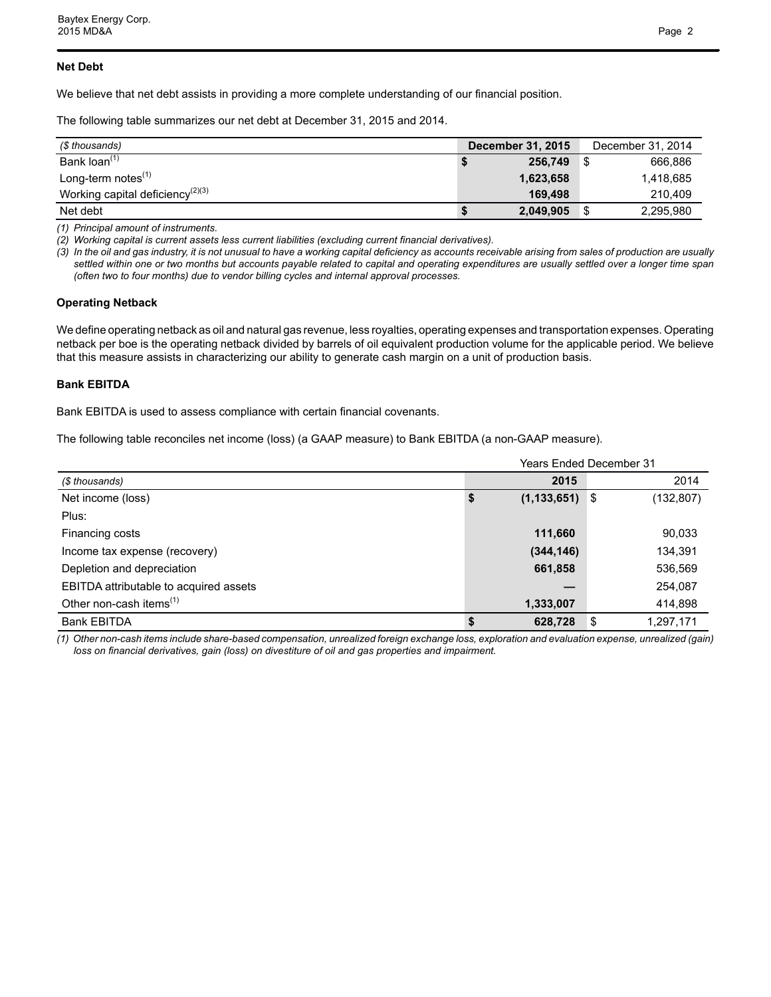### **Net Debt**

We believe that net debt assists in providing a more complete understanding of our financial position.

The following table summarizes our net debt at December 31, 2015 and 2014.

| (\$ thousands)                      | <b>December 31, 2015</b> | December 31, 2014 |
|-------------------------------------|--------------------------|-------------------|
| Bank loan <sup>(1)</sup>            | 256.749                  | 666,886           |
| Long-term notes $(1)$               | 1,623,658                | 1,418,685         |
| Working capital deficiency $(2)(3)$ | 169.498                  | 210.409           |
| Net debt                            | 2,049,905                | 2,295,980<br>S.   |

*(1) Principal amount of instruments.* 

*(2) Working capital is current assets less current liabilities (excluding current financial derivatives).* 

*(3) In the oil and gas industry, it is not unusual to have a working capital deficiency as accounts receivable arising from sales of production are usually settled within one or two months but accounts payable related to capital and operating expenditures are usually settled over a longer time span (often two to four months) due to vendor billing cycles and internal approval processes.*

#### **Operating Netback**

We define operating netback as oil and natural gas revenue, less royalties, operating expenses and transportation expenses. Operating netback per boe is the operating netback divided by barrels of oil equivalent production volume for the applicable period. We believe that this measure assists in characterizing our ability to generate cash margin on a unit of production basis.

## **Bank EBITDA**

Bank EBITDA is used to assess compliance with certain financial covenants.

The following table reconciles net income (loss) (a GAAP measure) to Bank EBITDA (a non-GAAP measure).

|                                        |                     | <b>Years Ended December 31</b> |
|----------------------------------------|---------------------|--------------------------------|
| (\$ thousands)                         | 2015                | 2014                           |
| Net income (loss)                      | (1, 133, 651)<br>\$ | (132, 807)<br>- \$             |
| Plus:                                  |                     |                                |
| Financing costs                        | 111,660             | 90,033                         |
| Income tax expense (recovery)          | (344, 146)          | 134,391                        |
| Depletion and depreciation             | 661,858             | 536,569                        |
| EBITDA attributable to acquired assets |                     | 254,087                        |
| Other non-cash items <sup>(1)</sup>    | 1,333,007           | 414,898                        |
| <b>Bank EBITDA</b>                     | 628,728             | S<br>1,297,171                 |

*(1) Other non-cash items include share-based compensation, unrealized foreign exchange loss, exploration and evaluation expense, unrealized (gain) loss on financial derivatives, gain (loss) on divestiture of oil and gas properties and impairment.*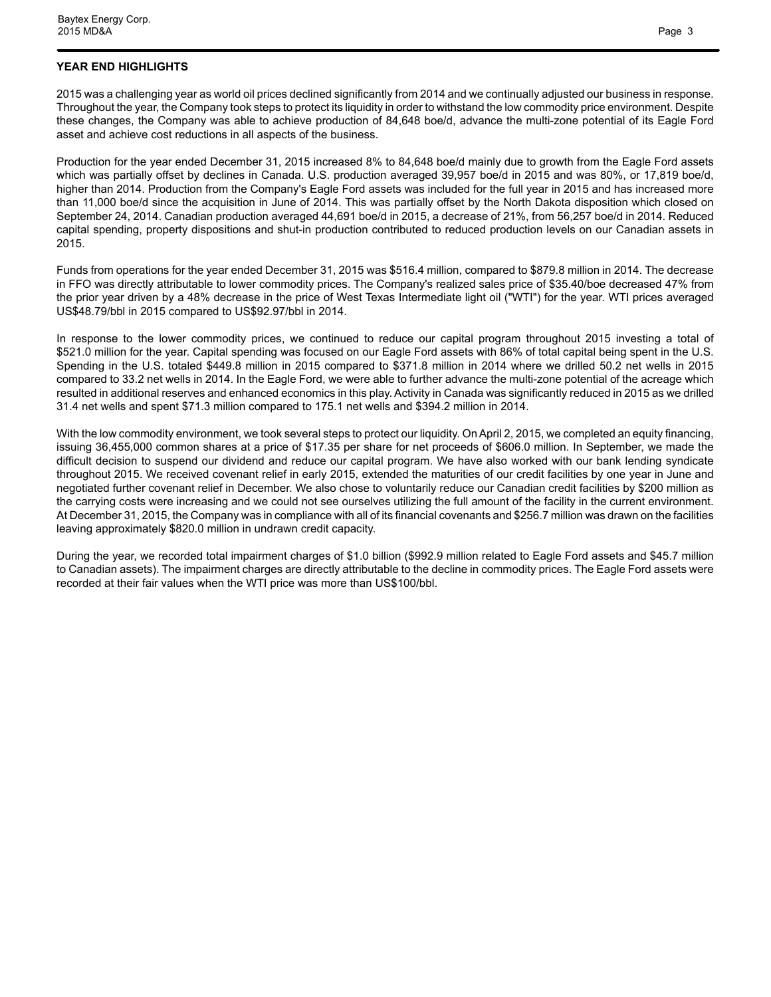## **YEAR END HIGHLIGHTS**

2015 was a challenging year as world oil prices declined significantly from 2014 and we continually adjusted our business in response. Throughout the year, the Company took steps to protect its liquidity in order to withstand the low commodity price environment. Despite these changes, the Company was able to achieve production of 84,648 boe/d, advance the multi-zone potential of its Eagle Ford asset and achieve cost reductions in all aspects of the business.

Production for the year ended December 31, 2015 increased 8% to 84,648 boe/d mainly due to growth from the Eagle Ford assets which was partially offset by declines in Canada. U.S. production averaged 39,957 boe/d in 2015 and was 80%, or 17,819 boe/d, higher than 2014. Production from the Company's Eagle Ford assets was included for the full year in 2015 and has increased more than 11,000 boe/d since the acquisition in June of 2014. This was partially offset by the North Dakota disposition which closed on September 24, 2014. Canadian production averaged 44,691 boe/d in 2015, a decrease of 21%, from 56,257 boe/d in 2014. Reduced capital spending, property dispositions and shut-in production contributed to reduced production levels on our Canadian assets in 2015.

Funds from operations for the year ended December 31, 2015 was \$516.4 million, compared to \$879.8 million in 2014. The decrease in FFO was directly attributable to lower commodity prices. The Company's realized sales price of \$35.40/boe decreased 47% from the prior year driven by a 48% decrease in the price of West Texas Intermediate light oil ("WTI") for the year. WTI prices averaged US\$48.79/bbl in 2015 compared to US\$92.97/bbl in 2014.

In response to the lower commodity prices, we continued to reduce our capital program throughout 2015 investing a total of \$521.0 million for the year. Capital spending was focused on our Eagle Ford assets with 86% of total capital being spent in the U.S. Spending in the U.S. totaled \$449.8 million in 2015 compared to \$371.8 million in 2014 where we drilled 50.2 net wells in 2015 compared to 33.2 net wells in 2014. In the Eagle Ford, we were able to further advance the multi-zone potential of the acreage which resulted in additional reserves and enhanced economics in this play. Activity in Canada was significantly reduced in 2015 as we drilled 31.4 net wells and spent \$71.3 million compared to 175.1 net wells and \$394.2 million in 2014.

With the low commodity environment, we took several steps to protect our liquidity. On April 2, 2015, we completed an equity financing, issuing 36,455,000 common shares at a price of \$17.35 per share for net proceeds of \$606.0 million. In September, we made the difficult decision to suspend our dividend and reduce our capital program. We have also worked with our bank lending syndicate throughout 2015. We received covenant relief in early 2015, extended the maturities of our credit facilities by one year in June and negotiated further covenant relief in December. We also chose to voluntarily reduce our Canadian credit facilities by \$200 million as the carrying costs were increasing and we could not see ourselves utilizing the full amount of the facility in the current environment. At December 31, 2015, the Company was in compliance with all of its financial covenants and \$256.7 million was drawn on the facilities leaving approximately \$820.0 million in undrawn credit capacity.

During the year, we recorded total impairment charges of \$1.0 billion (\$992.9 million related to Eagle Ford assets and \$45.7 million to Canadian assets). The impairment charges are directly attributable to the decline in commodity prices. The Eagle Ford assets were recorded at their fair values when the WTI price was more than US\$100/bbl.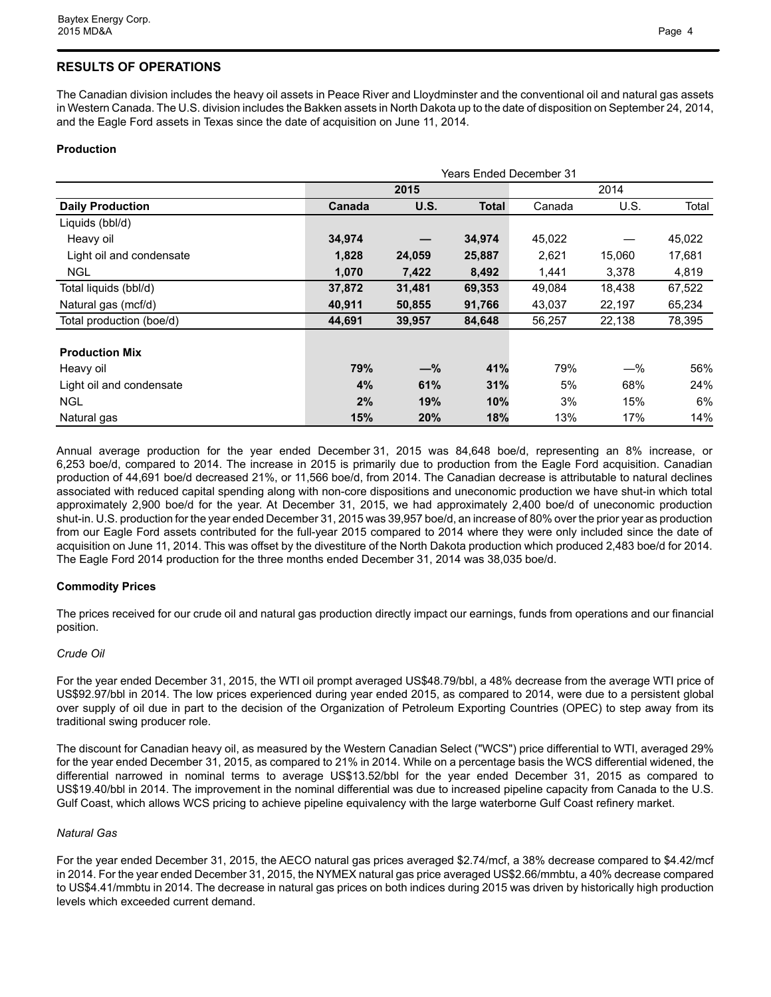# **RESULTS OF OPERATIONS**

The Canadian division includes the heavy oil assets in Peace River and Lloydminster and the conventional oil and natural gas assets in Western Canada. The U.S. division includes the Bakken assets in North Dakota up to the date of disposition on September 24, 2014, and the Eagle Ford assets in Texas since the date of acquisition on June 11, 2014.

## **Production**

|                          | <b>Years Ended December 31</b> |             |        |        |        |        |  |  |  |  |  |  |
|--------------------------|--------------------------------|-------------|--------|--------|--------|--------|--|--|--|--|--|--|
|                          |                                | 2015        |        | 2014   |        |        |  |  |  |  |  |  |
| <b>Daily Production</b>  | Canada                         | <b>U.S.</b> | Total  | Canada | U.S.   | Total  |  |  |  |  |  |  |
| Liquids (bbl/d)          |                                |             |        |        |        |        |  |  |  |  |  |  |
| Heavy oil                | 34,974                         |             | 34,974 | 45,022 |        | 45,022 |  |  |  |  |  |  |
| Light oil and condensate | 1,828                          | 24,059      | 25,887 | 2,621  | 15,060 | 17,681 |  |  |  |  |  |  |
| NGL                      | 1,070                          | 7,422       | 8,492  | 1,441  | 3,378  | 4,819  |  |  |  |  |  |  |
| Total liquids (bbl/d)    | 37,872                         | 31,481      | 69,353 | 49,084 | 18,438 | 67,522 |  |  |  |  |  |  |
| Natural gas (mcf/d)      | 40,911                         | 50,855      | 91,766 | 43,037 | 22,197 | 65,234 |  |  |  |  |  |  |
| Total production (boe/d) | 44,691                         | 39,957      | 84,648 | 56,257 | 22,138 | 78,395 |  |  |  |  |  |  |
| <b>Production Mix</b>    |                                |             |        |        |        |        |  |  |  |  |  |  |
| Heavy oil                | 79%                            | $-\%$       | 41%    | 79%    | $-\%$  | 56%    |  |  |  |  |  |  |
| Light oil and condensate | 4%                             | 61%         | 31%    | 5%     | 68%    | 24%    |  |  |  |  |  |  |
| <b>NGL</b>               | 2%                             | 19%         | 10%    | 3%     | 15%    | 6%     |  |  |  |  |  |  |
| Natural gas              | 15%                            | 20%         | 18%    | 13%    | 17%    | 14%    |  |  |  |  |  |  |

Annual average production for the year ended December 31, 2015 was 84,648 boe/d, representing an 8% increase, or 6,253 boe/d, compared to 2014. The increase in 2015 is primarily due to production from the Eagle Ford acquisition. Canadian production of 44,691 boe/d decreased 21%, or 11,566 boe/d, from 2014. The Canadian decrease is attributable to natural declines associated with reduced capital spending along with non-core dispositions and uneconomic production we have shut-in which total approximately 2,900 boe/d for the year. At December 31, 2015, we had approximately 2,400 boe/d of uneconomic production shut-in. U.S. production for the year ended December 31, 2015 was 39,957 boe/d, an increase of 80% over the prior year as production from our Eagle Ford assets contributed for the full-year 2015 compared to 2014 where they were only included since the date of acquisition on June 11, 2014. This was offset by the divestiture of the North Dakota production which produced 2,483 boe/d for 2014. The Eagle Ford 2014 production for the three months ended December 31, 2014 was 38,035 boe/d.

## **Commodity Prices**

The prices received for our crude oil and natural gas production directly impact our earnings, funds from operations and our financial position.

## *Crude Oil*

For the year ended December 31, 2015, the WTI oil prompt averaged US\$48.79/bbl, a 48% decrease from the average WTI price of US\$92.97/bbl in 2014. The low prices experienced during year ended 2015, as compared to 2014, were due to a persistent global over supply of oil due in part to the decision of the Organization of Petroleum Exporting Countries (OPEC) to step away from its traditional swing producer role.

The discount for Canadian heavy oil, as measured by the Western Canadian Select ("WCS") price differential to WTI, averaged 29% for the year ended December 31, 2015, as compared to 21% in 2014. While on a percentage basis the WCS differential widened, the differential narrowed in nominal terms to average US\$13.52/bbl for the year ended December 31, 2015 as compared to US\$19.40/bbl in 2014. The improvement in the nominal differential was due to increased pipeline capacity from Canada to the U.S. Gulf Coast, which allows WCS pricing to achieve pipeline equivalency with the large waterborne Gulf Coast refinery market.

#### *Natural Gas*

For the year ended December 31, 2015, the AECO natural gas prices averaged \$2.74/mcf, a 38% decrease compared to \$4.42/mcf in 2014. For the year ended December 31, 2015, the NYMEX natural gas price averaged US\$2.66/mmbtu, a 40% decrease compared to US\$4.41/mmbtu in 2014. The decrease in natural gas prices on both indices during 2015 was driven by historically high production levels which exceeded current demand.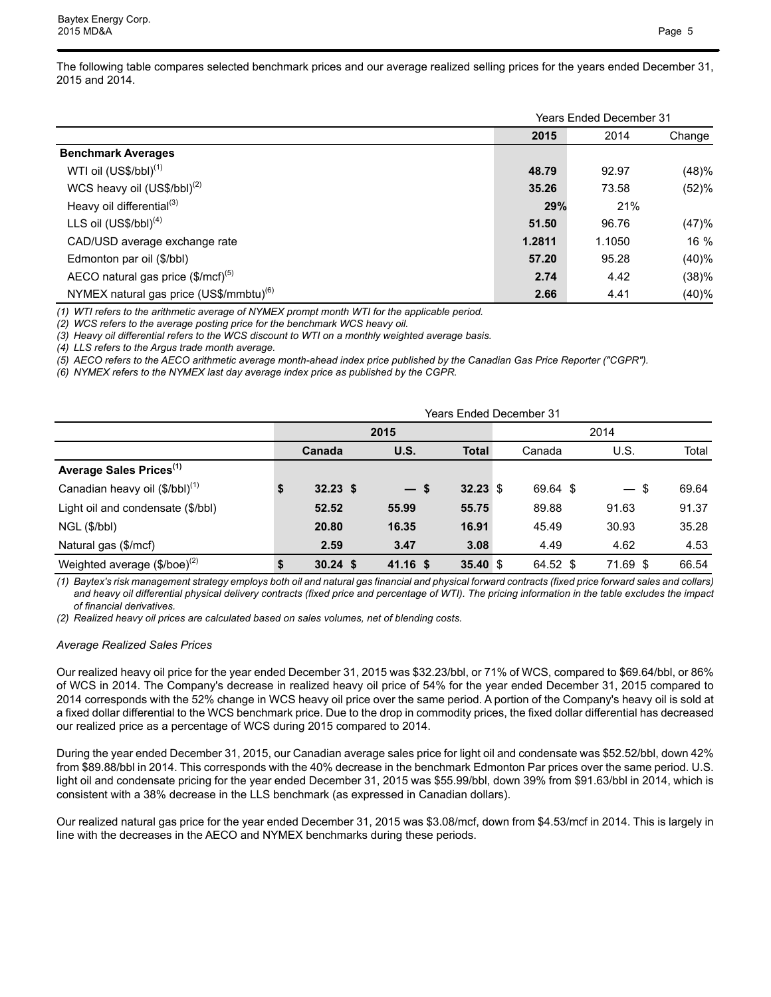|                                                     |        | <b>Years Ended December 31</b> |        |
|-----------------------------------------------------|--------|--------------------------------|--------|
|                                                     | 2015   | 2014                           | Change |
| <b>Benchmark Averages</b>                           |        |                                |        |
| WTI oil $(US$/bbI)^{(1)}$                           | 48.79  | 92.97                          | (48)%  |
| WCS heavy oil $(US$/bbI)^{(2)}$                     | 35.26  | 73.58                          | (52)%  |
| Heavy oil differential <sup>(3)</sup>               | 29%    | 21%                            |        |
| LLS oil $(USS/bbl)^{(4)}$                           | 51.50  | 96.76                          | (47)%  |
| CAD/USD average exchange rate                       | 1.2811 | 1.1050                         | 16 %   |
| Edmonton par oil (\$/bbl)                           | 57.20  | 95.28                          | (40)%  |
| AECO natural gas price $(\$/mcf)^{(5)}$             | 2.74   | 4.42                           | (38)%  |
| NYMEX natural gas price (US\$/mmbtu) <sup>(6)</sup> | 2.66   | 4.41                           | (40)%  |

*(1) WTI refers to the arithmetic average of NYMEX prompt month WTI for the applicable period.* 

*(2) WCS refers to the average posting price for the benchmark WCS heavy oil.* 

*(3) Heavy oil differential refers to the WCS discount to WTI on a monthly weighted average basis.* 

*(4) LLS refers to the Argus trade month average.*

*(5) AECO refers to the AECO arithmetic average month-ahead index price published by the Canadian Gas Price Reporter ("CGPR").*

*(6) NYMEX refers to the NYMEX last day average index price as published by the CGPR.*

| <b>Years Ended December 31</b>      |    |            |            |              |  |          |          |       |  |  |  |  |
|-------------------------------------|----|------------|------------|--------------|--|----------|----------|-------|--|--|--|--|
|                                     |    |            | 2015       | 2014         |  |          |          |       |  |  |  |  |
|                                     |    | Canada     | U.S.       | <b>Total</b> |  | Canada   | U.S.     | Total |  |  |  |  |
| Average Sales Prices <sup>(1)</sup> |    |            |            |              |  |          |          |       |  |  |  |  |
| Canadian heavy oil $(\$/bbl)^{(1)}$ | \$ | $32.23$ \$ | $-s$       | $32.23$ \$   |  | 69.64 \$ | - \$     | 69.64 |  |  |  |  |
| Light oil and condensate (\$/bbl)   |    | 52.52      | 55.99      | 55.75        |  | 89.88    | 91.63    | 91.37 |  |  |  |  |
| NGL (\$/bbl)                        |    | 20.80      | 16.35      | 16.91        |  | 45.49    | 30.93    | 35.28 |  |  |  |  |
| Natural gas (\$/mcf)                |    | 2.59       | 3.47       | 3.08         |  | 4.49     | 4.62     | 4.53  |  |  |  |  |
| Weighted average $(\$/boe)^{(2)}$   |    | $30.24$ \$ | $41.16$ \$ | 35.40 $$$    |  | 64.52 \$ | 71.69 \$ | 66.54 |  |  |  |  |

*(1) Baytex's risk management strategy employs both oil and natural gas financial and physical forward contracts (fixed price forward sales and collars) and heavy oil differential physical delivery contracts (fixed price and percentage of WTI). The pricing information in the table excludes the impact of financial derivatives.* 

*(2) Realized heavy oil prices are calculated based on sales volumes, net of blending costs.* 

#### *Average Realized Sales Prices*

Our realized heavy oil price for the year ended December 31, 2015 was \$32.23/bbl, or 71% of WCS, compared to \$69.64/bbl, or 86% of WCS in 2014. The Company's decrease in realized heavy oil price of 54% for the year ended December 31, 2015 compared to 2014 corresponds with the 52% change in WCS heavy oil price over the same period. A portion of the Company's heavy oil is sold at a fixed dollar differential to the WCS benchmark price. Due to the drop in commodity prices, the fixed dollar differential has decreased our realized price as a percentage of WCS during 2015 compared to 2014.

During the year ended December 31, 2015, our Canadian average sales price for light oil and condensate was \$52.52/bbl, down 42% from \$89.88/bbl in 2014. This corresponds with the 40% decrease in the benchmark Edmonton Par prices over the same period. U.S. light oil and condensate pricing for the year ended December 31, 2015 was \$55.99/bbl, down 39% from \$91.63/bbl in 2014, which is consistent with a 38% decrease in the LLS benchmark (as expressed in Canadian dollars).

Our realized natural gas price for the year ended December 31, 2015 was \$3.08/mcf, down from \$4.53/mcf in 2014. This is largely in line with the decreases in the AECO and NYMEX benchmarks during these periods.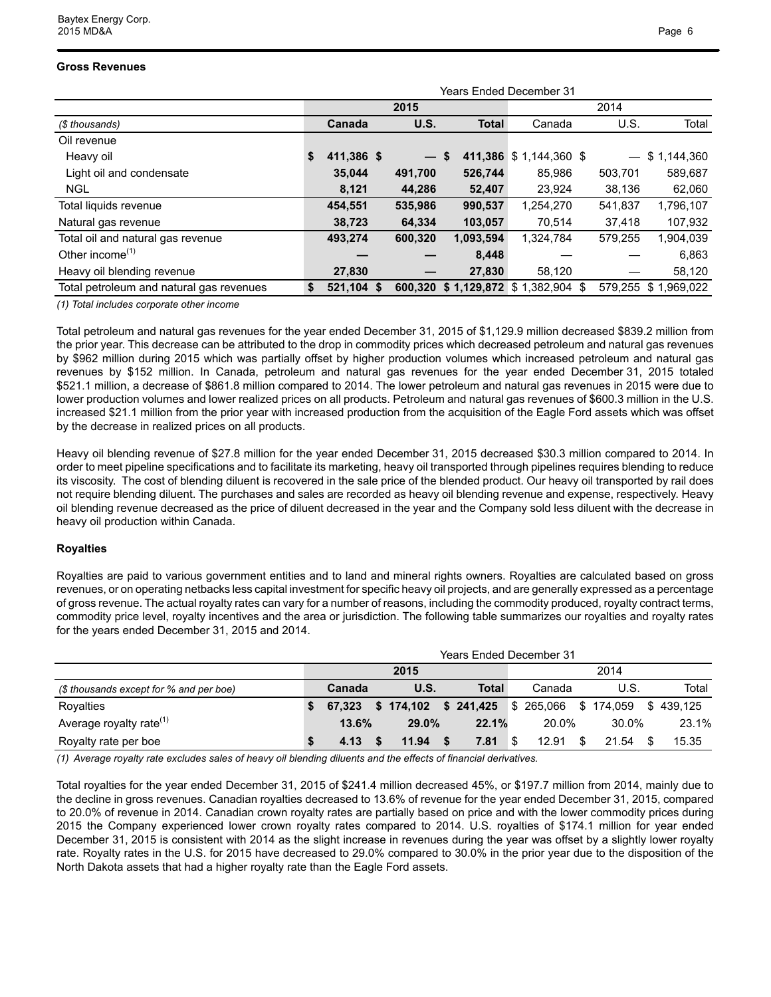#### **Gross Revenues**

|                                          | <b>Years Ended December 31</b> |              |                 |    |              |                               |  |                          |             |  |  |  |  |
|------------------------------------------|--------------------------------|--------------|-----------------|----|--------------|-------------------------------|--|--------------------------|-------------|--|--|--|--|
|                                          |                                |              | 2015            |    |              |                               |  |                          |             |  |  |  |  |
| (\$ thousands)                           |                                | Canada       | <b>U.S.</b>     |    | <b>Total</b> | Canada                        |  | U.S.                     | Total       |  |  |  |  |
| Oil revenue                              |                                |              |                 |    |              |                               |  |                          |             |  |  |  |  |
| Heavy oil                                | S.                             | 411,386 \$   | $\qquad \qquad$ | \$ | 411,386      | $$1,144,360$ \$               |  | $\overline{\phantom{0}}$ | \$1,144,360 |  |  |  |  |
| Light oil and condensate                 |                                | 35,044       | 491,700         |    | 526,744      | 85,986                        |  | 503,701                  | 589,687     |  |  |  |  |
| <b>NGL</b>                               |                                | 8,121        | 44,286          |    | 52,407       | 23,924                        |  | 38,136                   | 62,060      |  |  |  |  |
| Total liquids revenue                    |                                | 454,551      | 535,986         |    | 990,537      | 1,254,270                     |  | 541,837                  | 1,796,107   |  |  |  |  |
| Natural gas revenue                      |                                | 38,723       | 64,334          |    | 103,057      | 70,514                        |  | 37,418                   | 107,932     |  |  |  |  |
| Total oil and natural gas revenue        |                                | 493,274      | 600,320         |    | 1,093,594    | 1,324,784                     |  | 579,255                  | 1,904,039   |  |  |  |  |
| Other income <sup><math>(1)</math></sup> |                                |              |                 |    | 8,448        |                               |  |                          | 6,863       |  |  |  |  |
| Heavy oil blending revenue               |                                | 27,830       |                 |    | 27,830       | 58,120                        |  |                          | 58,120      |  |  |  |  |
| Total petroleum and natural gas revenues | S.                             | $521,104$ \$ | 600.320         |    |              | $$1,129,872$ $$1,382,904$ $$$ |  | 579,255                  | \$1,969,022 |  |  |  |  |
|                                          |                                |              |                 |    |              |                               |  |                          |             |  |  |  |  |

*(1) Total includes corporate other income*

Total petroleum and natural gas revenues for the year ended December 31, 2015 of \$1,129.9 million decreased \$839.2 million from the prior year. This decrease can be attributed to the drop in commodity prices which decreased petroleum and natural gas revenues by \$962 million during 2015 which was partially offset by higher production volumes which increased petroleum and natural gas revenues by \$152 million. In Canada, petroleum and natural gas revenues for the year ended December 31, 2015 totaled \$521.1 million, a decrease of \$861.8 million compared to 2014. The lower petroleum and natural gas revenues in 2015 were due to lower production volumes and lower realized prices on all products. Petroleum and natural gas revenues of \$600.3 million in the U.S. increased \$21.1 million from the prior year with increased production from the acquisition of the Eagle Ford assets which was offset by the decrease in realized prices on all products.

Heavy oil blending revenue of \$27.8 million for the year ended December 31, 2015 decreased \$30.3 million compared to 2014. In order to meet pipeline specifications and to facilitate its marketing, heavy oil transported through pipelines requires blending to reduce its viscosity. The cost of blending diluent is recovered in the sale price of the blended product. Our heavy oil transported by rail does not require blending diluent. The purchases and sales are recorded as heavy oil blending revenue and expense, respectively. Heavy oil blending revenue decreased as the price of diluent decreased in the year and the Company sold less diluent with the decrease in heavy oil production within Canada.

#### **Royalties**

Royalties are paid to various government entities and to land and mineral rights owners. Royalties are calculated based on gross revenues, or on operating netbacks less capital investment for specific heavy oil projects, and are generally expressed as a percentage of gross revenue. The actual royalty rates can vary for a number of reasons, including the commodity produced, royalty contract terms, commodity price level, royalty incentives and the area or jurisdiction. The following table summarizes our royalties and royalty rates for the years ended December 31, 2015 and 2014.

|                                         | Years Ended December 31 |        |  |                                             |  |       |     |        |    |       |  |           |  |
|-----------------------------------------|-------------------------|--------|--|---------------------------------------------|--|-------|-----|--------|----|-------|--|-----------|--|
|                                         | 2015                    |        |  |                                             |  |       |     | 2014   |    |       |  |           |  |
| (\$ thousands except for % and per boe) |                         | Canada |  | U.S.                                        |  | Total |     | Canada |    | U.S.  |  | Total     |  |
| Rovalties                               |                         | 67.323 |  | $$174,102$ $$241,425$ $$265,066$ $$174,059$ |  |       |     |        |    |       |  | \$439.125 |  |
| Average royalty rate <sup>(1)</sup>     |                         | 13.6%  |  | 29.0%                                       |  | 22.1% |     | 20.0%  |    | 30.0% |  | 23.1%     |  |
| Royalty rate per boe                    |                         | 4.13   |  | 11.94                                       |  | 7.81  | ՝ Տ | 12.91  | \$ | 21.54 |  | 15.35     |  |

*(1) Average royalty rate excludes sales of heavy oil blending diluents and the effects of financial derivatives.* 

Total royalties for the year ended December 31, 2015 of \$241.4 million decreased 45%, or \$197.7 million from 2014, mainly due to the decline in gross revenues. Canadian royalties decreased to 13.6% of revenue for the year ended December 31, 2015, compared to 20.0% of revenue in 2014. Canadian crown royalty rates are partially based on price and with the lower commodity prices during 2015 the Company experienced lower crown royalty rates compared to 2014. U.S. royalties of \$174.1 million for year ended December 31, 2015 is consistent with 2014 as the slight increase in revenues during the year was offset by a slightly lower royalty rate. Royalty rates in the U.S. for 2015 have decreased to 29.0% compared to 30.0% in the prior year due to the disposition of the North Dakota assets that had a higher royalty rate than the Eagle Ford assets.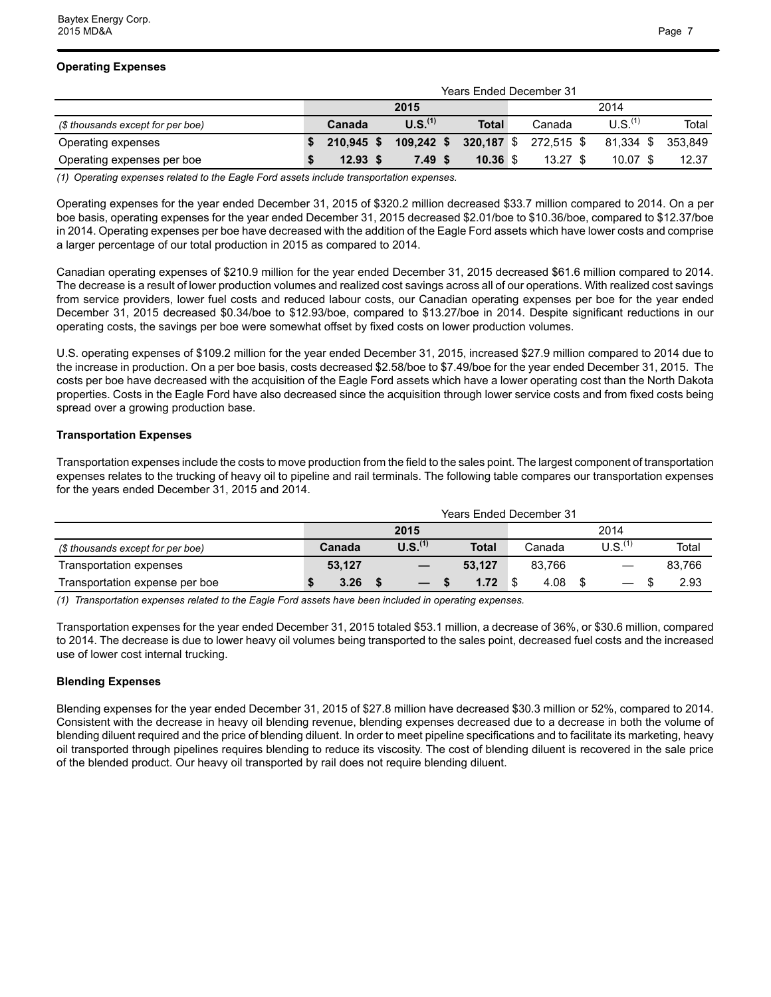|                                   | <b>Years Ended December 31</b> |              |  |                     |            |  |            |  |                     |         |  |  |
|-----------------------------------|--------------------------------|--------------|--|---------------------|------------|--|------------|--|---------------------|---------|--|--|
|                                   |                                |              |  | 2015                | 2014       |  |            |  |                     |         |  |  |
| (\$ thousands except for per boe) |                                | Canada       |  | U.S. <sup>(1)</sup> | Total      |  | Canada     |  | U.S. <sup>(1)</sup> | Total   |  |  |
| Operating expenses                |                                | $210.945$ \$ |  | $109,242$ \$        | 320,187 \$ |  | 272,515 \$ |  | 81.334 \$           | 353.849 |  |  |
| Operating expenses per boe        |                                | $12.93$ \$   |  | 7.49S               | $10.36$ \$ |  | $13.27$ \$ |  | $10.07$ \$          | 12.37   |  |  |

*(1) Operating expenses related to the Eagle Ford assets include transportation expenses.* 

Operating expenses for the year ended December 31, 2015 of \$320.2 million decreased \$33.7 million compared to 2014. On a per boe basis, operating expenses for the year ended December 31, 2015 decreased \$2.01/boe to \$10.36/boe, compared to \$12.37/boe in 2014. Operating expenses per boe have decreased with the addition of the Eagle Ford assets which have lower costs and comprise a larger percentage of our total production in 2015 as compared to 2014.

Canadian operating expenses of \$210.9 million for the year ended December 31, 2015 decreased \$61.6 million compared to 2014. The decrease is a result of lower production volumes and realized cost savings across all of our operations. With realized cost savings from service providers, lower fuel costs and reduced labour costs, our Canadian operating expenses per boe for the year ended December 31, 2015 decreased \$0.34/boe to \$12.93/boe, compared to \$13.27/boe in 2014. Despite significant reductions in our operating costs, the savings per boe were somewhat offset by fixed costs on lower production volumes.

U.S. operating expenses of \$109.2 million for the year ended December 31, 2015, increased \$27.9 million compared to 2014 due to the increase in production. On a per boe basis, costs decreased \$2.58/boe to \$7.49/boe for the year ended December 31, 2015. The costs per boe have decreased with the acquisition of the Eagle Ford assets which have a lower operating cost than the North Dakota properties. Costs in the Eagle Ford have also decreased since the acquisition through lower service costs and from fixed costs being spread over a growing production base.

#### **Transportation Expenses**

Transportation expenses include the costs to move production from the field to the sales point. The largest component of transportation expenses relates to the trucking of heavy oil to pipeline and rail terminals. The following table compares our transportation expenses for the years ended December 31, 2015 and 2014.

|                                   | <b>Years Ended December 31</b> |              |  |                     |  |              |  |        |  |                     |  |        |  |
|-----------------------------------|--------------------------------|--------------|--|---------------------|--|--------------|--|--------|--|---------------------|--|--------|--|
|                                   |                                | 2015<br>2014 |  |                     |  |              |  |        |  |                     |  |        |  |
| (\$ thousands except for per boe) |                                | Canada       |  | U.S. <sup>(1)</sup> |  | <b>Total</b> |  | Canada |  | U.S. <sup>(1)</sup> |  | Total  |  |
| Transportation expenses           |                                | 53.127       |  |                     |  | 53.127       |  | 83.766 |  |                     |  | 83.766 |  |
| Transportation expense per boe    |                                | 3.26         |  |                     |  | 1.72         |  | 4.08   |  |                     |  | 2.93   |  |

*(1) Transportation expenses related to the Eagle Ford assets have been included in operating expenses.* 

Transportation expenses for the year ended December 31, 2015 totaled \$53.1 million, a decrease of 36%, or \$30.6 million, compared to 2014. The decrease is due to lower heavy oil volumes being transported to the sales point, decreased fuel costs and the increased use of lower cost internal trucking.

#### **Blending Expenses**

Blending expenses for the year ended December 31, 2015 of \$27.8 million have decreased \$30.3 million or 52%, compared to 2014. Consistent with the decrease in heavy oil blending revenue, blending expenses decreased due to a decrease in both the volume of blending diluent required and the price of blending diluent. In order to meet pipeline specifications and to facilitate its marketing, heavy oil transported through pipelines requires blending to reduce its viscosity. The cost of blending diluent is recovered in the sale price of the blended product. Our heavy oil transported by rail does not require blending diluent.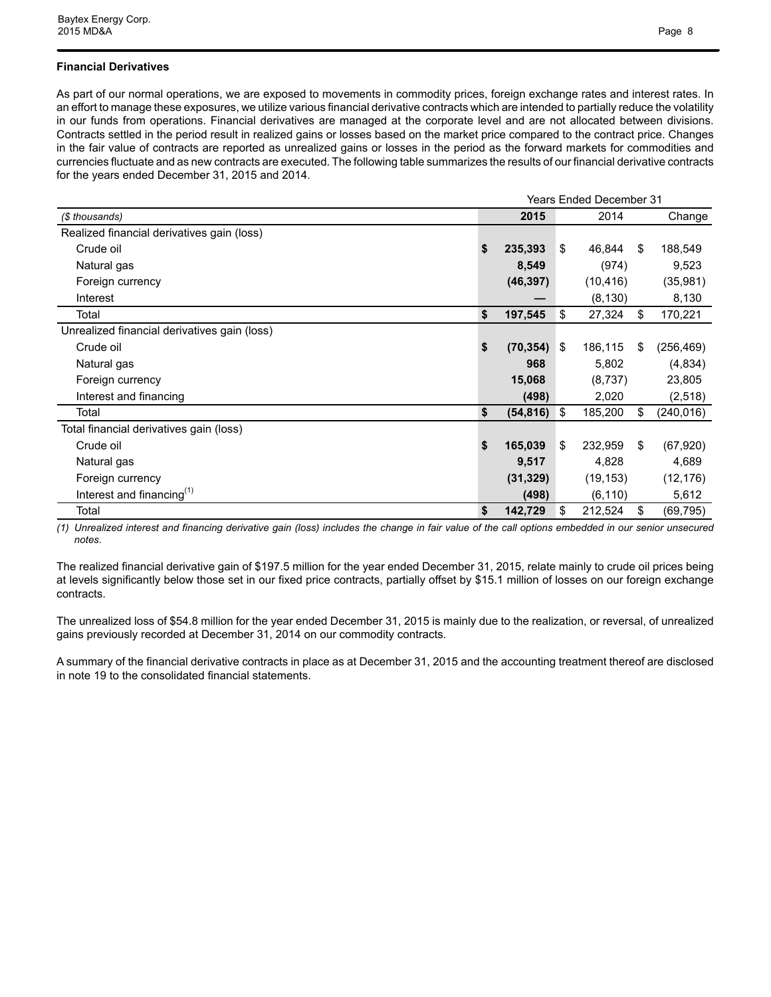### **Financial Derivatives**

As part of our normal operations, we are exposed to movements in commodity prices, foreign exchange rates and interest rates. In an effort to manage these exposures, we utilize various financial derivative contracts which are intended to partially reduce the volatility in our funds from operations. Financial derivatives are managed at the corporate level and are not allocated between divisions. Contracts settled in the period result in realized gains or losses based on the market price compared to the contract price. Changes in the fair value of contracts are reported as unrealized gains or losses in the period as the forward markets for commodities and currencies fluctuate and as new contracts are executed. The following table summarizes the results of our financial derivative contracts for the years ended December 31, 2015 and 2014.

|                                              |                 |     | <b>Years Ended December 31</b> |    |            |
|----------------------------------------------|-----------------|-----|--------------------------------|----|------------|
| (\$ thousands)                               | 2015            |     | 2014                           |    | Change     |
| Realized financial derivatives gain (loss)   |                 |     |                                |    |            |
| Crude oil                                    | \$<br>235,393   | \$  | 46,844                         | \$ | 188,549    |
| Natural gas                                  | 8,549           |     | (974)                          |    | 9,523      |
| Foreign currency                             | (46, 397)       |     | (10, 416)                      |    | (35, 981)  |
| Interest                                     |                 |     | (8, 130)                       |    | 8,130      |
| Total                                        | \$<br>197,545   | \$  | 27,324                         | \$ | 170,221    |
| Unrealized financial derivatives gain (loss) |                 |     |                                |    |            |
| Crude oil                                    | \$<br>(70, 354) | ∣\$ | 186,115                        | \$ | (256, 469) |
| Natural gas                                  | 968             |     | 5,802                          |    | (4,834)    |
| Foreign currency                             | 15,068          |     | (8,737)                        |    | 23,805     |
| Interest and financing                       | (498)           |     | 2,020                          |    | (2, 518)   |
| Total                                        | \$<br>(54, 816) | ∣\$ | 185,200                        | \$ | (240, 016) |
| Total financial derivatives gain (loss)      |                 |     |                                |    |            |
| Crude oil                                    | \$<br>165,039   | \$  | 232,959                        | S  | (67, 920)  |
| Natural gas                                  | 9,517           |     | 4,828                          |    | 4,689      |
| Foreign currency                             | (31, 329)       |     | (19, 153)                      |    | (12, 176)  |
| Interest and financing $(1)$                 | (498)           |     | (6, 110)                       |    | 5,612      |
| Total                                        | \$<br>142,729   | S.  | 212,524                        | S  | (69, 795)  |

*(1) Unrealized interest and financing derivative gain (loss) includes the change in fair value of the call options embedded in our senior unsecured notes.*

The realized financial derivative gain of \$197.5 million for the year ended December 31, 2015, relate mainly to crude oil prices being at levels significantly below those set in our fixed price contracts, partially offset by \$15.1 million of losses on our foreign exchange contracts.

The unrealized loss of \$54.8 million for the year ended December 31, 2015 is mainly due to the realization, or reversal, of unrealized gains previously recorded at December 31, 2014 on our commodity contracts.

A summary of the financial derivative contracts in place as at December 31, 2015 and the accounting treatment thereof are disclosed in note 19 to the consolidated financial statements.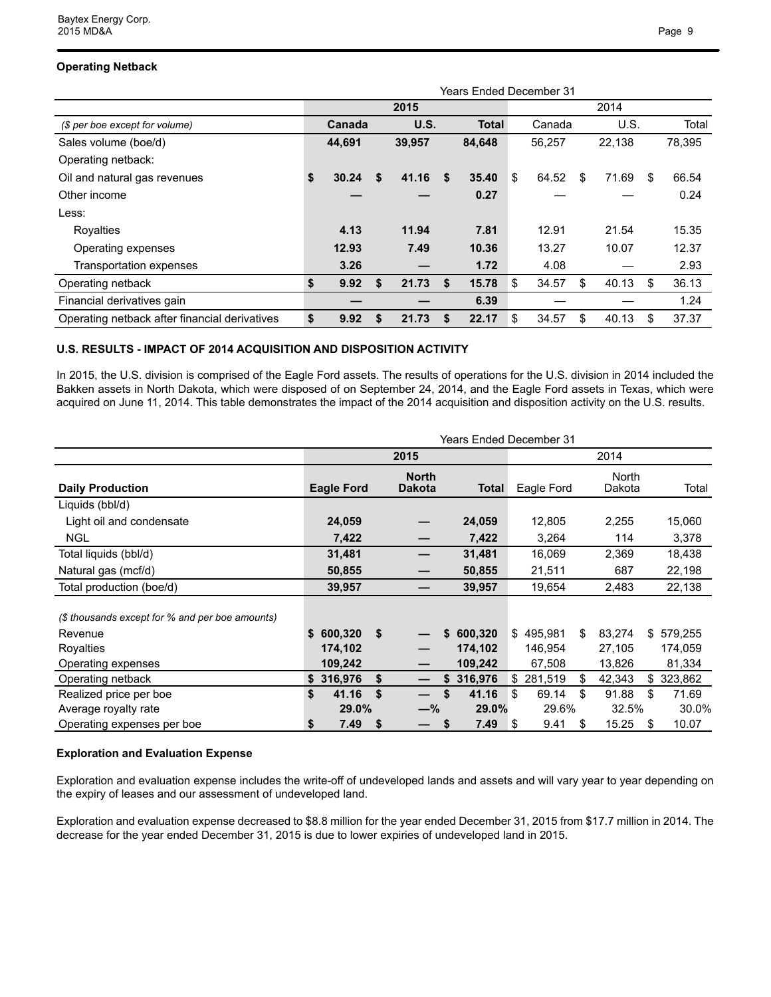## **Operating Netback**

|                                               | Years Ended December 31 |        |    |        |    |              |    |        |      |        |     |        |  |
|-----------------------------------------------|-------------------------|--------|----|--------|----|--------------|----|--------|------|--------|-----|--------|--|
|                                               |                         |        |    | 2015   |    |              |    |        | 2014 |        |     |        |  |
| (\$ per boe except for volume)                |                         | Canada |    | U.S.   |    | <b>Total</b> |    | Canada |      | U.S.   |     | Total  |  |
| Sales volume (boe/d)                          |                         | 44,691 |    | 39,957 |    | 84,648       |    | 56,257 |      | 22,138 |     | 78,395 |  |
| Operating netback:                            |                         |        |    |        |    |              |    |        |      |        |     |        |  |
| Oil and natural gas revenues                  | \$                      | 30.24  | S. | 41.16  | S  | 35.40        | \$ | 64.52  | \$   | 71.69  | \$. | 66.54  |  |
| Other income                                  |                         |        |    |        |    | 0.27         |    |        |      |        |     | 0.24   |  |
| Less:                                         |                         |        |    |        |    |              |    |        |      |        |     |        |  |
| Royalties                                     |                         | 4.13   |    | 11.94  |    | 7.81         |    | 12.91  |      | 21.54  |     | 15.35  |  |
| Operating expenses                            |                         | 12.93  |    | 7.49   |    | 10.36        |    | 13.27  |      | 10.07  |     | 12.37  |  |
| Transportation expenses                       |                         | 3.26   |    |        |    | 1.72         |    | 4.08   |      |        |     | 2.93   |  |
| Operating netback                             | \$                      | 9.92   |    | 21.73  | \$ | 15.78        | \$ | 34.57  | \$   | 40.13  | S   | 36.13  |  |
| Financial derivatives gain                    |                         |        |    |        |    | 6.39         |    |        |      |        |     | 1.24   |  |
| Operating netback after financial derivatives | \$                      | 9.92   | S  | 21.73  | S  | 22.17        | \$ | 34.57  | \$   | 40.13  | S   | 37.37  |  |

#### **U.S. RESULTS - IMPACT OF 2014 ACQUISITION AND DISPOSITION ACTIVITY**

In 2015, the U.S. division is comprised of the Eagle Ford assets. The results of operations for the U.S. division in 2014 included the Bakken assets in North Dakota, which were disposed of on September 24, 2014, and the Eagle Ford assets in Texas, which were acquired on June 11, 2014. This table demonstrates the impact of the 2014 acquisition and disposition activity on the U.S. results.

|                                                 | <b>Years Ended December 31</b> |                   |    |                               |    |         |    |            |    |                 |    |         |
|-------------------------------------------------|--------------------------------|-------------------|----|-------------------------------|----|---------|----|------------|----|-----------------|----|---------|
|                                                 |                                |                   |    | 2015                          |    |         |    |            |    | 2014            |    |         |
| <b>Daily Production</b>                         |                                | <b>Eagle Ford</b> |    | <b>North</b><br><b>Dakota</b> |    | Total   |    | Eagle Ford |    | North<br>Dakota |    | Total   |
| Liquids (bbl/d)                                 |                                |                   |    |                               |    |         |    |            |    |                 |    |         |
| Light oil and condensate                        |                                | 24,059            |    |                               |    | 24,059  |    | 12,805     |    | 2,255           |    | 15,060  |
| <b>NGL</b>                                      |                                | 7,422             |    |                               |    | 7,422   |    | 3,264      |    | 114             |    | 3,378   |
| Total liquids (bbl/d)                           |                                | 31,481            |    |                               |    | 31,481  |    | 16,069     |    | 2,369           |    | 18,438  |
| Natural gas (mcf/d)                             |                                | 50,855            |    |                               |    | 50,855  |    | 21,511     |    | 687             |    | 22,198  |
| Total production (boe/d)                        |                                | 39,957            |    |                               |    | 39,957  |    | 19,654     |    | 2,483           |    | 22,138  |
| (\$ thousands except for % and per boe amounts) |                                |                   |    |                               |    |         |    |            |    |                 |    |         |
| Revenue                                         |                                | \$600,320         | \$ |                               | \$ | 600,320 |    | \$495,981  | S. | 83,274          | \$ | 579,255 |
| Royalties                                       |                                | 174,102           |    |                               |    | 174,102 |    | 146,954    |    | 27,105          |    | 174,059 |
| Operating expenses                              |                                | 109,242           |    |                               |    | 109,242 |    | 67,508     |    | 13,826          |    | 81,334  |
| Operating netback                               |                                | \$316,976         | \$ |                               | S  | 316,976 |    | \$281,519  | \$ | 42,343          | \$ | 323,862 |
| Realized price per boe                          | \$                             | 41.16             | \$ |                               |    | 41.16   | \$ | 69.14      | \$ | 91.88           | \$ | 71.69   |
| Average royalty rate                            |                                | 29.0%             |    | -%                            |    | 29.0%   |    | 29.6%      |    | 32.5%           |    | 30.0%   |
| Operating expenses per boe                      | \$                             | 7.49              | \$ |                               | \$ | 7.49    | \$ | 9.41       | \$ | 15.25           | \$ | 10.07   |

#### **Exploration and Evaluation Expense**

Exploration and evaluation expense includes the write-off of undeveloped lands and assets and will vary year to year depending on the expiry of leases and our assessment of undeveloped land.

Exploration and evaluation expense decreased to \$8.8 million for the year ended December 31, 2015 from \$17.7 million in 2014. The decrease for the year ended December 31, 2015 is due to lower expiries of undeveloped land in 2015.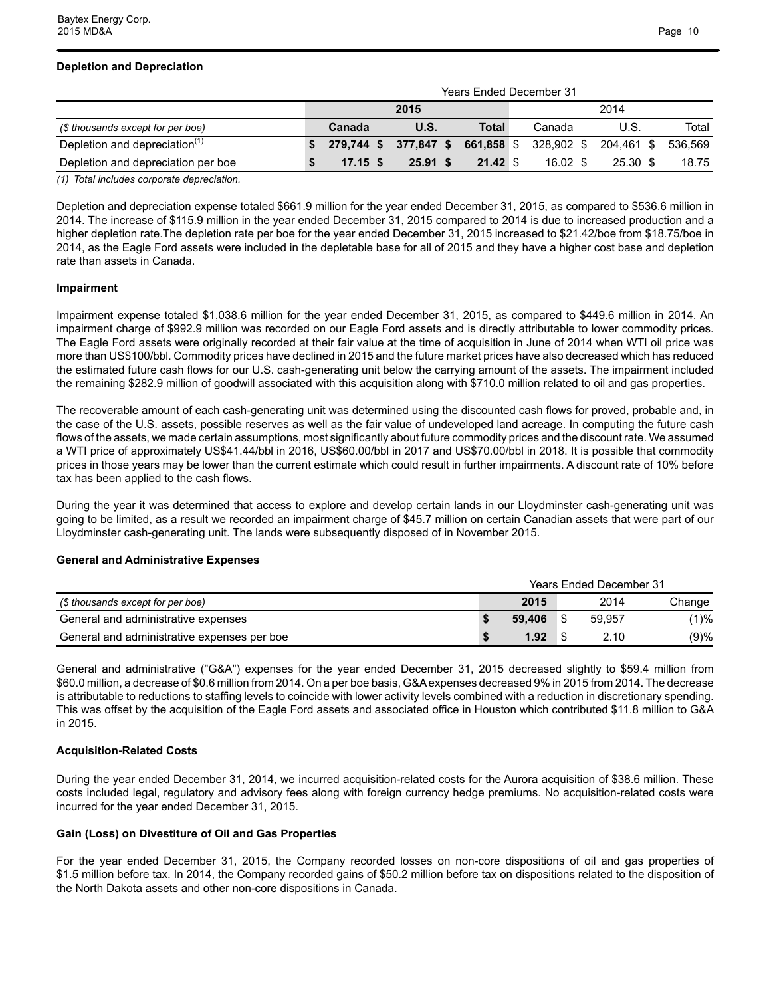## **Depletion and Depreciation**

|                                           | <b>Years Ended December 31</b> |                                                        |                     |  |            |  |          |         |  |  |  |  |  |
|-------------------------------------------|--------------------------------|--------------------------------------------------------|---------------------|--|------------|--|----------|---------|--|--|--|--|--|
|                                           |                                | 2015                                                   |                     |  |            |  |          |         |  |  |  |  |  |
| (\$ thousands except for per boe)         | Canada                         | <b>U.S.</b>                                            | Total               |  | Canada     |  | U.S.     | Total   |  |  |  |  |  |
| Depletion and depreciation <sup>(1)</sup> |                                | 279,744 \$ 377,847 \$ 661,858 \$ 328,902 \$ 204,461 \$ |                     |  |            |  |          | 536.569 |  |  |  |  |  |
| Depletion and depreciation per boe        | $17.15$ \$                     | 25.91 S                                                | $21.42 \text{ } $s$ |  | $16.02$ \$ |  | 25.30 \$ | 18.75   |  |  |  |  |  |
| .                                         |                                |                                                        |                     |  |            |  |          |         |  |  |  |  |  |

*(1) Total includes corporate depreciation.*

Depletion and depreciation expense totaled \$661.9 million for the year ended December 31, 2015, as compared to \$536.6 million in 2014. The increase of \$115.9 million in the year ended December 31, 2015 compared to 2014 is due to increased production and a higher depletion rate.The depletion rate per boe for the year ended December 31, 2015 increased to \$21.42/boe from \$18.75/boe in 2014, as the Eagle Ford assets were included in the depletable base for all of 2015 and they have a higher cost base and depletion rate than assets in Canada.

#### **Impairment**

Impairment expense totaled \$1,038.6 million for the year ended December 31, 2015, as compared to \$449.6 million in 2014. An impairment charge of \$992.9 million was recorded on our Eagle Ford assets and is directly attributable to lower commodity prices. The Eagle Ford assets were originally recorded at their fair value at the time of acquisition in June of 2014 when WTI oil price was more than US\$100/bbl. Commodity prices have declined in 2015 and the future market prices have also decreased which has reduced the estimated future cash flows for our U.S. cash-generating unit below the carrying amount of the assets. The impairment included the remaining \$282.9 million of goodwill associated with this acquisition along with \$710.0 million related to oil and gas properties.

The recoverable amount of each cash-generating unit was determined using the discounted cash flows for proved, probable and, in the case of the U.S. assets, possible reserves as well as the fair value of undeveloped land acreage. In computing the future cash flows of the assets, we made certain assumptions, most significantly about future commodity prices and the discount rate. We assumed a WTI price of approximately US\$41.44/bbl in 2016, US\$60.00/bbl in 2017 and US\$70.00/bbl in 2018. It is possible that commodity prices in those years may be lower than the current estimate which could result in further impairments. A discount rate of 10% before tax has been applied to the cash flows.

During the year it was determined that access to explore and develop certain lands in our Lloydminster cash-generating unit was going to be limited, as a result we recorded an impairment charge of \$45.7 million on certain Canadian assets that were part of our Lloydminster cash-generating unit. The lands were subsequently disposed of in November 2015.

#### **General and Administrative Expenses**

|                                             | <b>Years Ended December 31</b> |        |  |        |        |  |  |  |
|---------------------------------------------|--------------------------------|--------|--|--------|--------|--|--|--|
| (\$ thousands except for per boe)           |                                | 2015   |  | 2014   | Change |  |  |  |
| General and administrative expenses         |                                | 59.406 |  | 59.957 | (1)%   |  |  |  |
| General and administrative expenses per boe |                                | 1.92   |  | 2.10   | (9)%   |  |  |  |

General and administrative ("G&A") expenses for the year ended December 31, 2015 decreased slightly to \$59.4 million from \$60.0 million, a decrease of \$0.6 million from 2014. On a per boe basis, G&A expenses decreased 9% in 2015 from 2014. The decrease is attributable to reductions to staffing levels to coincide with lower activity levels combined with a reduction in discretionary spending. This was offset by the acquisition of the Eagle Ford assets and associated office in Houston which contributed \$11.8 million to G&A in 2015.

#### **Acquisition-Related Costs**

During the year ended December 31, 2014, we incurred acquisition-related costs for the Aurora acquisition of \$38.6 million. These costs included legal, regulatory and advisory fees along with foreign currency hedge premiums. No acquisition-related costs were incurred for the year ended December 31, 2015.

#### **Gain (Loss) on Divestiture of Oil and Gas Properties**

For the year ended December 31, 2015, the Company recorded losses on non-core dispositions of oil and gas properties of \$1.5 million before tax. In 2014, the Company recorded gains of \$50.2 million before tax on dispositions related to the disposition of the North Dakota assets and other non-core dispositions in Canada.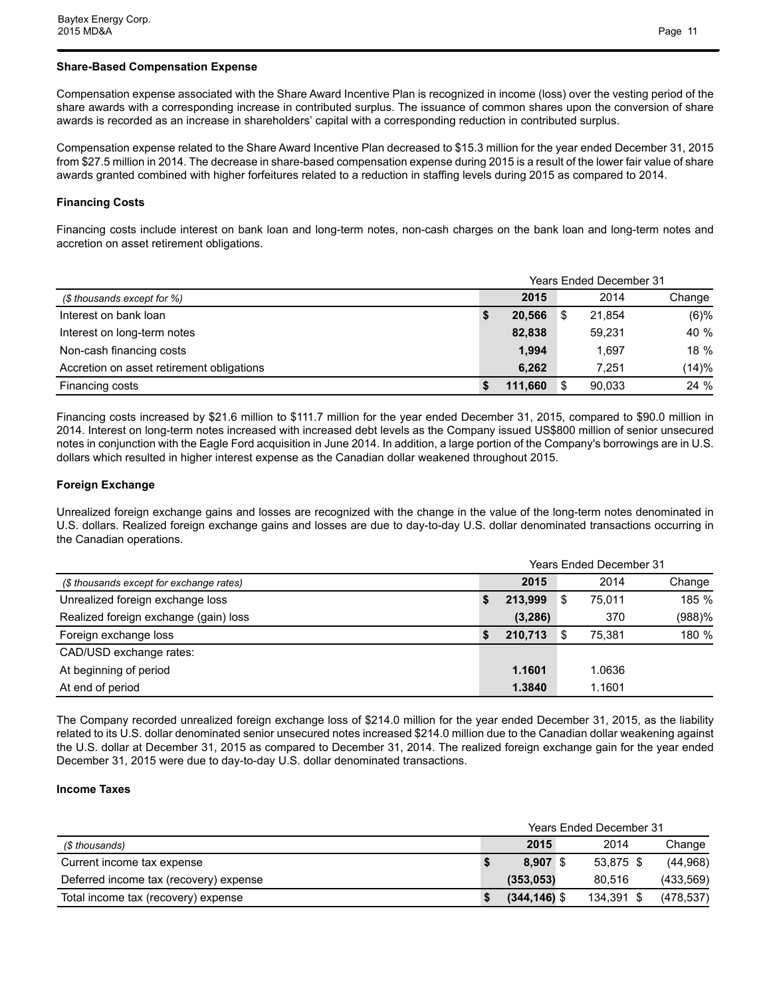### **Share-Based Compensation Expense**

Compensation expense associated with the Share Award Incentive Plan is recognized in income (loss) over the vesting period of the share awards with a corresponding increase in contributed surplus. The issuance of common shares upon the conversion of share awards is recorded as an increase in shareholders' capital with a corresponding reduction in contributed surplus.

Compensation expense related to the Share Award Incentive Plan decreased to \$15.3 million for the year ended December 31, 2015 from \$27.5 million in 2014. The decrease in share-based compensation expense during 2015 is a result of the lower fair value of share awards granted combined with higher forfeitures related to a reduction in staffing levels during 2015 as compared to 2014.

## **Financing Costs**

Financing costs include interest on bank loan and long-term notes, non-cash charges on the bank loan and long-term notes and accretion on asset retirement obligations.

|                                           | <b>Years Ended December 31</b> |         |  |        |        |  |  |  |
|-------------------------------------------|--------------------------------|---------|--|--------|--------|--|--|--|
| (\$ thousands except for %)               |                                | 2015    |  | 2014   | Change |  |  |  |
| Interest on bank loan                     |                                | 20.566  |  | 21.854 | (6)%   |  |  |  |
| Interest on long-term notes               |                                | 82,838  |  | 59.231 | 40 %   |  |  |  |
| Non-cash financing costs                  |                                | 1.994   |  | 1.697  | 18 %   |  |  |  |
| Accretion on asset retirement obligations |                                | 6,262   |  | 7.251  | (14)%  |  |  |  |
| Financing costs                           |                                | 111.660 |  | 90.033 | 24%    |  |  |  |

Financing costs increased by \$21.6 million to \$111.7 million for the year ended December 31, 2015, compared to \$90.0 million in 2014. Interest on long-term notes increased with increased debt levels as the Company issued US\$800 million of senior unsecured notes in conjunction with the Eagle Ford acquisition in June 2014. In addition, a large portion of the Company's borrowings are in U.S. dollars which resulted in higher interest expense as the Canadian dollar weakened throughout 2015.

## **Foreign Exchange**

Unrealized foreign exchange gains and losses are recognized with the change in the value of the long-term notes denominated in U.S. dollars. Realized foreign exchange gains and losses are due to day-to-day U.S. dollar denominated transactions occurring in the Canadian operations.

|                                          | <b>Years Ended December 31</b> |          |   |        |        |  |  |  |
|------------------------------------------|--------------------------------|----------|---|--------|--------|--|--|--|
| (\$ thousands except for exchange rates) |                                | 2015     |   | 2014   | Change |  |  |  |
| Unrealized foreign exchange loss         |                                | 213.999  | S | 75.011 | 185 %  |  |  |  |
| Realized foreign exchange (gain) loss    |                                | (3, 286) |   | 370    | (988)% |  |  |  |
| Foreign exchange loss                    |                                | 210.713  |   | 75.381 | 180 %  |  |  |  |
| CAD/USD exchange rates:                  |                                |          |   |        |        |  |  |  |
| At beginning of period                   |                                | 1.1601   |   | 1.0636 |        |  |  |  |
| At end of period                         |                                | 1.3840   |   | 1.1601 |        |  |  |  |

The Company recorded unrealized foreign exchange loss of \$214.0 million for the year ended December 31, 2015, as the liability related to its U.S. dollar denominated senior unsecured notes increased \$214.0 million due to the Canadian dollar weakening against the U.S. dollar at December 31, 2015 as compared to December 31, 2014. The realized foreign exchange gain for the year ended December 31, 2015 were due to day-to-day U.S. dollar denominated transactions.

#### **Income Taxes**

|                                        | <b>Years Ended December 31</b> |                 |  |            |  |            |  |  |
|----------------------------------------|--------------------------------|-----------------|--|------------|--|------------|--|--|
| (\$ thousands)                         |                                | 2015            |  | 2014       |  | Change     |  |  |
| Current income tax expense             |                                | 8.907 \$        |  | 53.875 \$  |  | (44,968)   |  |  |
| Deferred income tax (recovery) expense |                                | (353, 053)      |  | 80.516     |  | (433, 569) |  |  |
| Total income tax (recovery) expense    |                                | $(344, 146)$ \$ |  | 134.391 \$ |  | (478, 537) |  |  |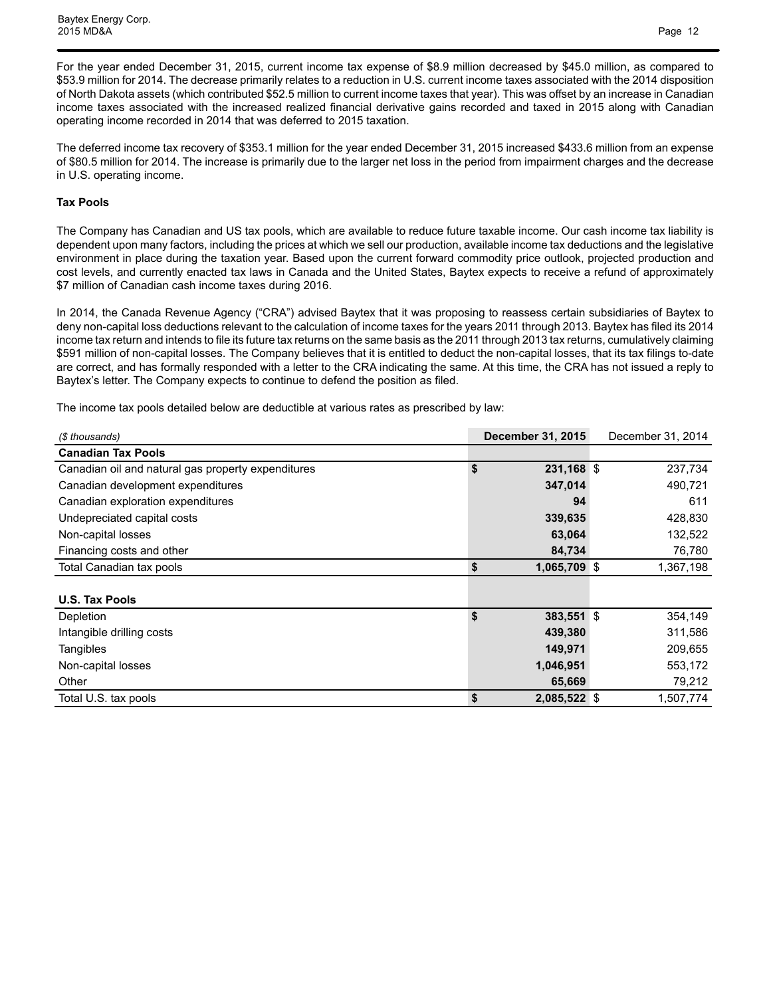Baytex Energy Corp. 2015 MD&A Page 12

For the year ended December 31, 2015, current income tax expense of \$8.9 million decreased by \$45.0 million, as compared to \$53.9 million for 2014. The decrease primarily relates to a reduction in U.S. current income taxes associated with the 2014 disposition of North Dakota assets (which contributed \$52.5 million to current income taxes that year). This was offset by an increase in Canadian income taxes associated with the increased realized financial derivative gains recorded and taxed in 2015 along with Canadian operating income recorded in 2014 that was deferred to 2015 taxation.

The deferred income tax recovery of \$353.1 million for the year ended December 31, 2015 increased \$433.6 million from an expense of \$80.5 million for 2014. The increase is primarily due to the larger net loss in the period from impairment charges and the decrease in U.S. operating income.

#### **Tax Pools**

The Company has Canadian and US tax pools, which are available to reduce future taxable income. Our cash income tax liability is dependent upon many factors, including the prices at which we sell our production, available income tax deductions and the legislative environment in place during the taxation year. Based upon the current forward commodity price outlook, projected production and cost levels, and currently enacted tax laws in Canada and the United States, Baytex expects to receive a refund of approximately \$7 million of Canadian cash income taxes during 2016.

In 2014, the Canada Revenue Agency ("CRA") advised Baytex that it was proposing to reassess certain subsidiaries of Baytex to deny non-capital loss deductions relevant to the calculation of income taxes for the years 2011 through 2013. Baytex has filed its 2014 income tax return and intends to file its future tax returns on the same basis as the 2011 through 2013 tax returns, cumulatively claiming \$591 million of non-capital losses. The Company believes that it is entitled to deduct the non-capital losses, that its tax filings to-date are correct, and has formally responded with a letter to the CRA indicating the same. At this time, the CRA has not issued a reply to Baytex's letter. The Company expects to continue to defend the position as filed.

The income tax pools detailed below are deductible at various rates as prescribed by law:

| (\$ thousands)                                     | <b>December 31, 2015</b> | December 31, 2014 |
|----------------------------------------------------|--------------------------|-------------------|
| <b>Canadian Tax Pools</b>                          |                          |                   |
| Canadian oil and natural gas property expenditures | \$<br>231,168 \$         | 237,734           |
| Canadian development expenditures                  | 347,014                  | 490,721           |
| Canadian exploration expenditures                  | 94                       | 611               |
| Undepreciated capital costs                        | 339,635                  | 428,830           |
| Non-capital losses                                 | 63,064                   | 132,522           |
| Financing costs and other                          | 84,734                   | 76,780            |
| Total Canadian tax pools                           | \$<br>1,065,709 \$       | 1,367,198         |
|                                                    |                          |                   |
| <b>U.S. Tax Pools</b>                              |                          |                   |
| Depletion                                          | \$<br>383,551 \$         | 354,149           |
| Intangible drilling costs                          | 439,380                  | 311,586           |
| Tangibles                                          | 149,971                  | 209,655           |
| Non-capital losses                                 | 1,046,951                | 553,172           |
| Other                                              | 65,669                   | 79,212            |
| Total U.S. tax pools                               | \$<br>2,085,522 \$       | 1,507,774         |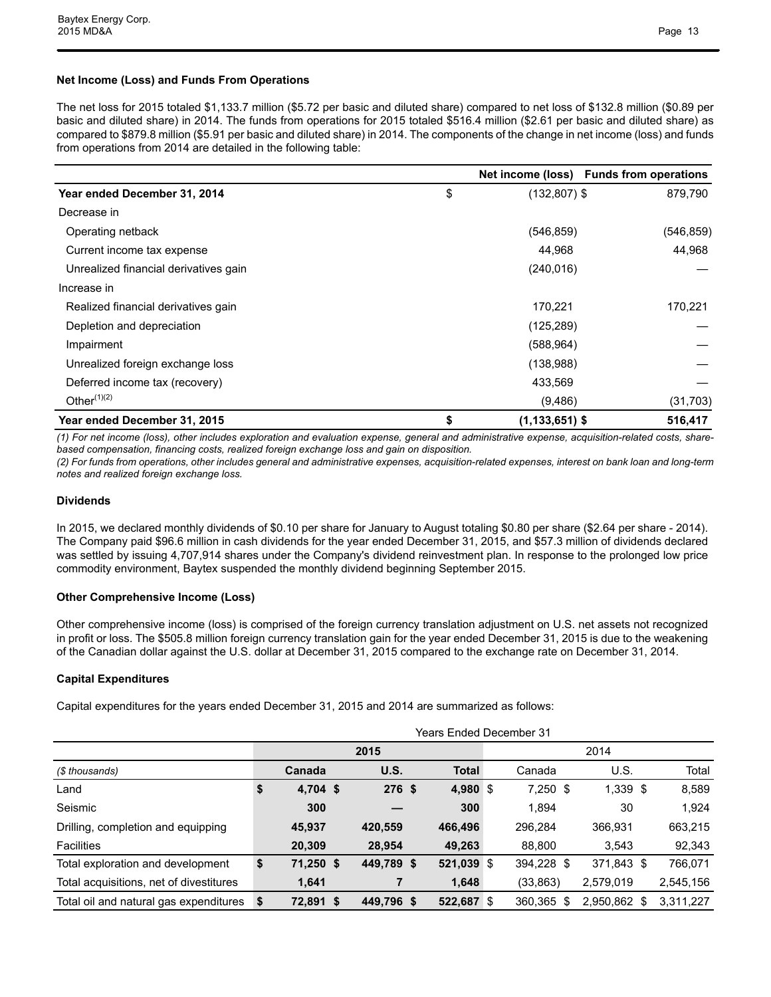### **Net Income (Loss) and Funds From Operations**

The net loss for 2015 totaled \$1,133.7 million (\$5.72 per basic and diluted share) compared to net loss of \$132.8 million (\$0.89 per basic and diluted share) in 2014. The funds from operations for 2015 totaled \$516.4 million (\$2.61 per basic and diluted share) as compared to \$879.8 million (\$5.91 per basic and diluted share) in 2014. The components of the change in net income (loss) and funds from operations from 2014 are detailed in the following table:

|                                       |                          | Net income (loss) Funds from operations |
|---------------------------------------|--------------------------|-----------------------------------------|
| Year ended December 31, 2014          | \$<br>$(132, 807)$ \$    | 879,790                                 |
| Decrease in                           |                          |                                         |
| Operating netback                     | (546, 859)               | (546, 859)                              |
| Current income tax expense            | 44,968                   | 44,968                                  |
| Unrealized financial derivatives gain | (240, 016)               |                                         |
| Increase in                           |                          |                                         |
| Realized financial derivatives gain   | 170,221                  | 170,221                                 |
| Depletion and depreciation            | (125, 289)               |                                         |
| Impairment                            | (588, 964)               |                                         |
| Unrealized foreign exchange loss      | (138,988)                |                                         |
| Deferred income tax (recovery)        | 433,569                  |                                         |
| Other $(1)(2)$                        | (9,486)                  | (31, 703)                               |
| Year ended December 31, 2015          | \$<br>$(1, 133, 651)$ \$ | 516,417                                 |

*(1) For net income (loss), other includes exploration and evaluation expense, general and administrative expense, acquisition-related costs, sharebased compensation, financing costs, realized foreign exchange loss and gain on disposition.* 

*(2) For funds from operations, other includes general and administrative expenses, acquisition-related expenses, interest on bank loan and long-term notes and realized foreign exchange loss.*

#### **Dividends**

In 2015, we declared monthly dividends of \$0.10 per share for January to August totaling \$0.80 per share (\$2.64 per share - 2014). The Company paid \$96.6 million in cash dividends for the year ended December 31, 2015, and \$57.3 million of dividends declared was settled by issuing 4,707,914 shares under the Company's dividend reinvestment plan. In response to the prolonged low price commodity environment, Baytex suspended the monthly dividend beginning September 2015.

#### **Other Comprehensive Income (Loss)**

Other comprehensive income (loss) is comprised of the foreign currency translation adjustment on U.S. net assets not recognized in profit or loss. The \$505.8 million foreign currency translation gain for the year ended December 31, 2015 is due to the weakening of the Canadian dollar against the U.S. dollar at December 31, 2015 compared to the exchange rate on December 31, 2014.

#### **Capital Expenditures**

Capital expenditures for the years ended December 31, 2015 and 2014 are summarized as follows:

| Years Ended December 31                 |    |            |            |  |              |      |            |   |              |  |           |  |
|-----------------------------------------|----|------------|------------|--|--------------|------|------------|---|--------------|--|-----------|--|
|                                         |    |            | 2015       |  |              | 2014 |            |   |              |  |           |  |
| (\$ thousands)                          |    | Canada     | U.S.       |  | <b>Total</b> |      | Canada     |   | U.S.         |  | Total     |  |
| Land                                    | \$ | $4,704$ \$ | $276$ \$   |  | 4,980 $$$    |      | $7,250$ \$ |   | $1,339$ \$   |  | 8,589     |  |
| Seismic                                 |    | 300        |            |  | 300          |      | 1.894      |   | 30           |  | 1,924     |  |
| Drilling, completion and equipping      |    | 45,937     | 420,559    |  | 466,496      |      | 296.284    |   | 366.931      |  | 663,215   |  |
| <b>Facilities</b>                       |    | 20,309     | 28,954     |  | 49,263       |      | 88,800     |   | 3.543        |  | 92,343    |  |
| Total exploration and development       | \$ | 71,250 \$  | 449,789 \$ |  | 521,039 \$   |      | 394,228 \$ |   | 371,843 \$   |  | 766,071   |  |
| Total acquisitions, net of divestitures |    | 1,641      |            |  | 1,648        |      | (33, 863)  |   | 2,579,019    |  | 2,545,156 |  |
| Total oil and natural gas expenditures  | \$ | 72,891 \$  | 449,796 \$ |  | 522,687      | 8    | 360.365    | S | 2,950,862 \$ |  | 3,311,227 |  |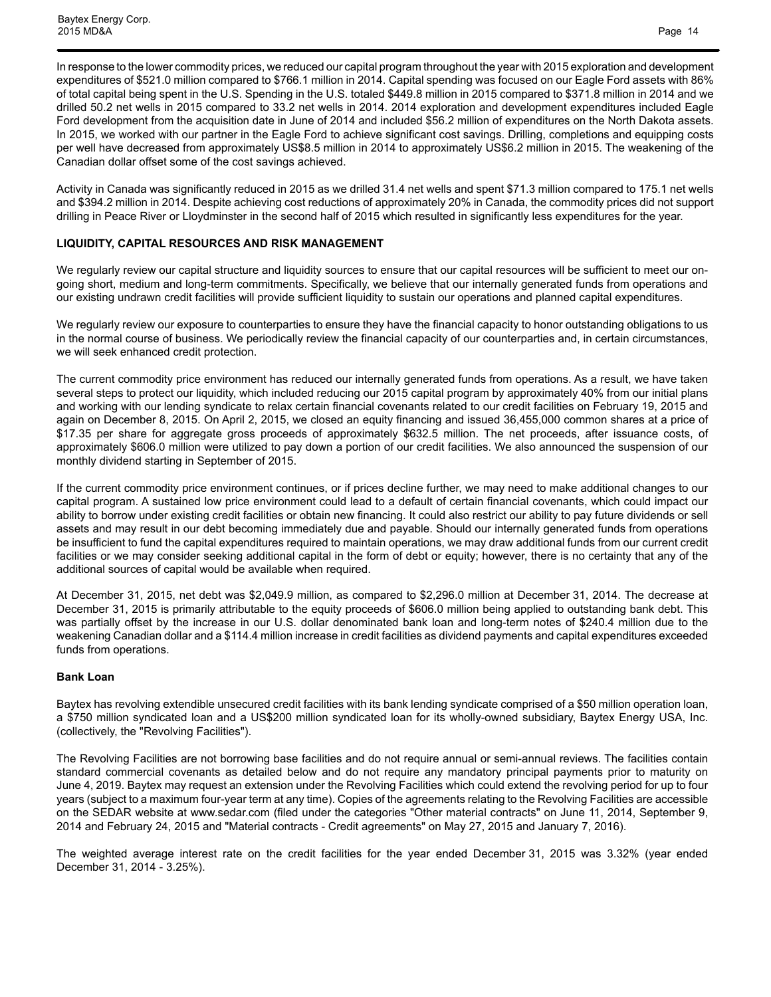In response to the lower commodity prices, we reduced our capital program throughout the year with 2015 exploration and development expenditures of \$521.0 million compared to \$766.1 million in 2014. Capital spending was focused on our Eagle Ford assets with 86% of total capital being spent in the U.S. Spending in the U.S. totaled \$449.8 million in 2015 compared to \$371.8 million in 2014 and we drilled 50.2 net wells in 2015 compared to 33.2 net wells in 2014. 2014 exploration and development expenditures included Eagle Ford development from the acquisition date in June of 2014 and included \$56.2 million of expenditures on the North Dakota assets. In 2015, we worked with our partner in the Eagle Ford to achieve significant cost savings. Drilling, completions and equipping costs per well have decreased from approximately US\$8.5 million in 2014 to approximately US\$6.2 million in 2015. The weakening of the Canadian dollar offset some of the cost savings achieved.

Activity in Canada was significantly reduced in 2015 as we drilled 31.4 net wells and spent \$71.3 million compared to 175.1 net wells and \$394.2 million in 2014. Despite achieving cost reductions of approximately 20% in Canada, the commodity prices did not support drilling in Peace River or Lloydminster in the second half of 2015 which resulted in significantly less expenditures for the year.

### **LIQUIDITY, CAPITAL RESOURCES AND RISK MANAGEMENT**

We regularly review our capital structure and liquidity sources to ensure that our capital resources will be sufficient to meet our ongoing short, medium and long-term commitments. Specifically, we believe that our internally generated funds from operations and our existing undrawn credit facilities will provide sufficient liquidity to sustain our operations and planned capital expenditures.

We regularly review our exposure to counterparties to ensure they have the financial capacity to honor outstanding obligations to us in the normal course of business. We periodically review the financial capacity of our counterparties and, in certain circumstances, we will seek enhanced credit protection.

The current commodity price environment has reduced our internally generated funds from operations. As a result, we have taken several steps to protect our liquidity, which included reducing our 2015 capital program by approximately 40% from our initial plans and working with our lending syndicate to relax certain financial covenants related to our credit facilities on February 19, 2015 and again on December 8, 2015. On April 2, 2015, we closed an equity financing and issued 36,455,000 common shares at a price of \$17.35 per share for aggregate gross proceeds of approximately \$632.5 million. The net proceeds, after issuance costs, of approximately \$606.0 million were utilized to pay down a portion of our credit facilities. We also announced the suspension of our monthly dividend starting in September of 2015.

If the current commodity price environment continues, or if prices decline further, we may need to make additional changes to our capital program. A sustained low price environment could lead to a default of certain financial covenants, which could impact our ability to borrow under existing credit facilities or obtain new financing. It could also restrict our ability to pay future dividends or sell assets and may result in our debt becoming immediately due and payable. Should our internally generated funds from operations be insufficient to fund the capital expenditures required to maintain operations, we may draw additional funds from our current credit facilities or we may consider seeking additional capital in the form of debt or equity; however, there is no certainty that any of the additional sources of capital would be available when required.

At December 31, 2015, net debt was \$2,049.9 million, as compared to \$2,296.0 million at December 31, 2014. The decrease at December 31, 2015 is primarily attributable to the equity proceeds of \$606.0 million being applied to outstanding bank debt. This was partially offset by the increase in our U.S. dollar denominated bank loan and long-term notes of \$240.4 million due to the weakening Canadian dollar and a \$114.4 million increase in credit facilities as dividend payments and capital expenditures exceeded funds from operations.

#### **Bank Loan**

Baytex has revolving extendible unsecured credit facilities with its bank lending syndicate comprised of a \$50 million operation loan, a \$750 million syndicated loan and a US\$200 million syndicated loan for its wholly-owned subsidiary, Baytex Energy USA, Inc. (collectively, the "Revolving Facilities").

The Revolving Facilities are not borrowing base facilities and do not require annual or semi-annual reviews. The facilities contain standard commercial covenants as detailed below and do not require any mandatory principal payments prior to maturity on June 4, 2019. Baytex may request an extension under the Revolving Facilities which could extend the revolving period for up to four years (subject to a maximum four-year term at any time). Copies of the agreements relating to the Revolving Facilities are accessible on the SEDAR website at www.sedar.com (filed under the categories "Other material contracts" on June 11, 2014, September 9, 2014 and February 24, 2015 and "Material contracts - Credit agreements" on May 27, 2015 and January 7, 2016).

The weighted average interest rate on the credit facilities for the year ended December 31, 2015 was 3.32% (year ended December 31, 2014 - 3.25%).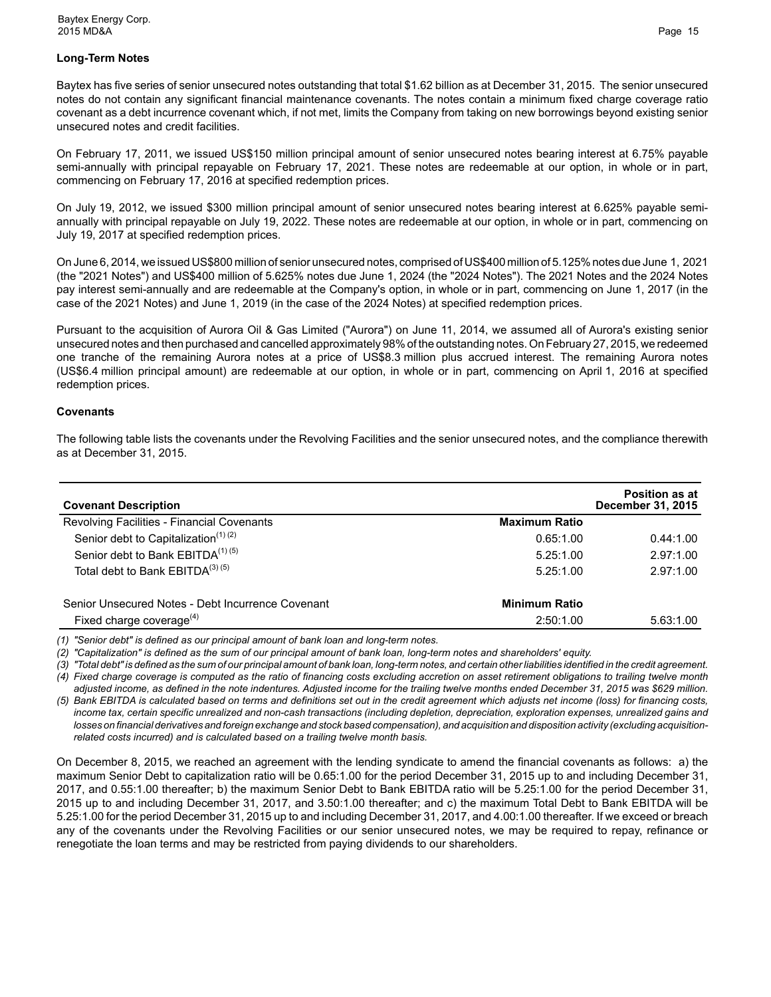### **Long-Term Notes**

Baytex has five series of senior unsecured notes outstanding that total \$1.62 billion as at December 31, 2015. The senior unsecured notes do not contain any significant financial maintenance covenants. The notes contain a minimum fixed charge coverage ratio covenant as a debt incurrence covenant which, if not met, limits the Company from taking on new borrowings beyond existing senior unsecured notes and credit facilities.

On February 17, 2011, we issued US\$150 million principal amount of senior unsecured notes bearing interest at 6.75% payable semi-annually with principal repayable on February 17, 2021. These notes are redeemable at our option, in whole or in part, commencing on February 17, 2016 at specified redemption prices.

On July 19, 2012, we issued \$300 million principal amount of senior unsecured notes bearing interest at 6.625% payable semiannually with principal repayable on July 19, 2022. These notes are redeemable at our option, in whole or in part, commencing on July 19, 2017 at specified redemption prices.

On June 6, 2014, we issued US\$800 million of senior unsecured notes, comprised of US\$400 million of 5.125% notes due June 1, 2021 (the "2021 Notes") and US\$400 million of 5.625% notes due June 1, 2024 (the "2024 Notes"). The 2021 Notes and the 2024 Notes pay interest semi-annually and are redeemable at the Company's option, in whole or in part, commencing on June 1, 2017 (in the case of the 2021 Notes) and June 1, 2019 (in the case of the 2024 Notes) at specified redemption prices.

Pursuant to the acquisition of Aurora Oil & Gas Limited ("Aurora") on June 11, 2014, we assumed all of Aurora's existing senior unsecured notes and then purchased and cancelled approximately 98% of the outstanding notes. On February 27, 2015, we redeemed one tranche of the remaining Aurora notes at a price of US\$8.3 million plus accrued interest. The remaining Aurora notes (US\$6.4 million principal amount) are redeemable at our option, in whole or in part, commencing on April 1, 2016 at specified redemption prices.

#### **Covenants**

The following table lists the covenants under the Revolving Facilities and the senior unsecured notes, and the compliance therewith as at December 31, 2015.

| <b>Covenant Description</b>                       |                      | <b>Position as at</b><br><b>December 31, 2015</b> |
|---------------------------------------------------|----------------------|---------------------------------------------------|
| Revolving Facilities - Financial Covenants        | <b>Maximum Ratio</b> |                                                   |
| Senior debt to Capitalization $(1)(2)$            | 0.65:1.00            | 0.44:1.00                                         |
| Senior debt to Bank EBITDA <sup>(1)(5)</sup>      | 5.25:1.00            | 2.97:1.00                                         |
| Total debt to Bank EBITDA(3)(5)                   | 5.25:1.00            | 2.97:1.00                                         |
| Senior Unsecured Notes - Debt Incurrence Covenant | <b>Minimum Ratio</b> |                                                   |
| Fixed charge coverage $(4)$                       | 2:50:1.00            | 5.63:1.00                                         |

*(1) "Senior debt" is defined as our principal amount of bank loan and long-term notes.* 

*(2) "Capitalization" is defined as the sum of our principal amount of bank loan, long-term notes and shareholders' equity.* 

*(3) "Total debt" is defined as the sum of our principal amount of bank loan, long-term notes, and certain other liabilities identified in the credit agreement.*

*(4) Fixed charge coverage is computed as the ratio of financing costs excluding accretion on asset retirement obligations to trailing twelve month adjusted income, as defined in the note indentures. Adjusted income for the trailing twelve months ended December 31, 2015 was \$629 million.*

*(5) Bank EBITDA is calculated based on terms and definitions set out in the credit agreement which adjusts net income (loss) for financing costs, income tax, certain specific unrealized and non-cash transactions (including depletion, depreciation, exploration expenses, unrealized gains and losses on financial derivatives and foreign exchange and stock based compensation), and acquisition and disposition activity (excluding acquisitionrelated costs incurred) and is calculated based on a trailing twelve month basis.* 

On December 8, 2015, we reached an agreement with the lending syndicate to amend the financial covenants as follows: a) the maximum Senior Debt to capitalization ratio will be 0.65:1.00 for the period December 31, 2015 up to and including December 31, 2017, and 0.55:1.00 thereafter; b) the maximum Senior Debt to Bank EBITDA ratio will be 5.25:1.00 for the period December 31, 2015 up to and including December 31, 2017, and 3.50:1.00 thereafter; and c) the maximum Total Debt to Bank EBITDA will be 5.25:1.00 for the period December 31, 2015 up to and including December 31, 2017, and 4.00:1.00 thereafter. If we exceed or breach any of the covenants under the Revolving Facilities or our senior unsecured notes, we may be required to repay, refinance or renegotiate the loan terms and may be restricted from paying dividends to our shareholders.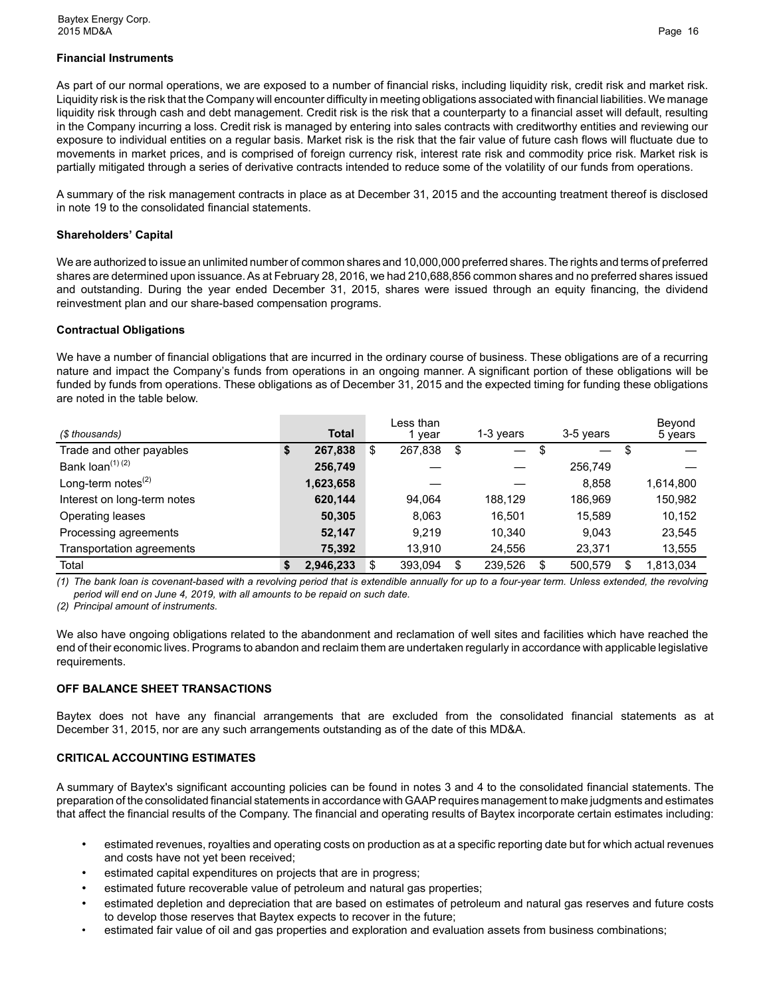### **Financial Instruments**

As part of our normal operations, we are exposed to a number of financial risks, including liquidity risk, credit risk and market risk. Liquidity risk is the risk that the Company will encounter difficulty in meeting obligations associated with financial liabilities. We manage liquidity risk through cash and debt management. Credit risk is the risk that a counterparty to a financial asset will default, resulting in the Company incurring a loss. Credit risk is managed by entering into sales contracts with creditworthy entities and reviewing our exposure to individual entities on a regular basis. Market risk is the risk that the fair value of future cash flows will fluctuate due to movements in market prices, and is comprised of foreign currency risk, interest rate risk and commodity price risk. Market risk is partially mitigated through a series of derivative contracts intended to reduce some of the volatility of our funds from operations.

A summary of the risk management contracts in place as at December 31, 2015 and the accounting treatment thereof is disclosed in note 19 to the consolidated financial statements.

### **Shareholders' Capital**

We are authorized to issue an unlimited number of common shares and 10,000,000 preferred shares. The rights and terms of preferred shares are determined upon issuance. As at February 28, 2016, we had 210,688,856 common shares and no preferred shares issued and outstanding. During the year ended December 31, 2015, shares were issued through an equity financing, the dividend reinvestment plan and our share-based compensation programs.

## **Contractual Obligations**

We have a number of financial obligations that are incurred in the ordinary course of business. These obligations are of a recurring nature and impact the Company's funds from operations in an ongoing manner. A significant portion of these obligations will be funded by funds from operations. These obligations as of December 31, 2015 and the expected timing for funding these obligations are noted in the table below.

| (\$ thousands)               | <b>Total</b>    |    | Less than<br>vear |    | 1-3 years |   | 3-5 years |     | Beyond<br>5 years |
|------------------------------|-----------------|----|-------------------|----|-----------|---|-----------|-----|-------------------|
| Trade and other payables     | \$<br>267,838   | \$ | 267,838           | \$ |           | S |           | -\$ |                   |
| Bank loan <sup>(1) (2)</sup> | 256,749         |    |                   |    |           |   | 256.749   |     |                   |
| Long-term notes $(2)$        | 1,623,658       |    |                   |    |           |   | 8,858     |     | 1,614,800         |
| Interest on long-term notes  | 620,144         |    | 94.064            |    | 188.129   |   | 186.969   |     | 150,982           |
| Operating leases             | 50,305          |    | 8.063             |    | 16.501    |   | 15.589    |     | 10,152            |
| Processing agreements        | 52,147          |    | 9.219             |    | 10.340    |   | 9.043     |     | 23,545            |
| Transportation agreements    | 75.392          |    | 13.910            |    | 24.556    |   | 23.371    |     | 13,555            |
| Total                        | \$<br>2,946,233 | S  | 393.094           | S  | 239,526   | S | 500.579   |     | 1.813.034         |

*(1) The bank loan is covenant-based with a revolving period that is extendible annually for up to a four-year term. Unless extended, the revolving period will end on June 4, 2019, with all amounts to be repaid on such date.* 

*(2) Principal amount of instruments.* 

We also have ongoing obligations related to the abandonment and reclamation of well sites and facilities which have reached the end of their economic lives. Programs to abandon and reclaim them are undertaken regularly in accordance with applicable legislative requirements.

## **OFF BALANCE SHEET TRANSACTIONS**

Baytex does not have any financial arrangements that are excluded from the consolidated financial statements as at December 31, 2015, nor are any such arrangements outstanding as of the date of this MD&A.

## **CRITICAL ACCOUNTING ESTIMATES**

A summary of Baytex's significant accounting policies can be found in notes 3 and 4 to the consolidated financial statements. The preparation of the consolidated financial statements in accordance with GAAP requires management to make judgments and estimates that affect the financial results of the Company. The financial and operating results of Baytex incorporate certain estimates including:

- estimated revenues, royalties and operating costs on production as at a specific reporting date but for which actual revenues and costs have not yet been received;
- estimated capital expenditures on projects that are in progress;
- estimated future recoverable value of petroleum and natural gas properties;
- estimated depletion and depreciation that are based on estimates of petroleum and natural gas reserves and future costs to develop those reserves that Baytex expects to recover in the future;
- estimated fair value of oil and gas properties and exploration and evaluation assets from business combinations;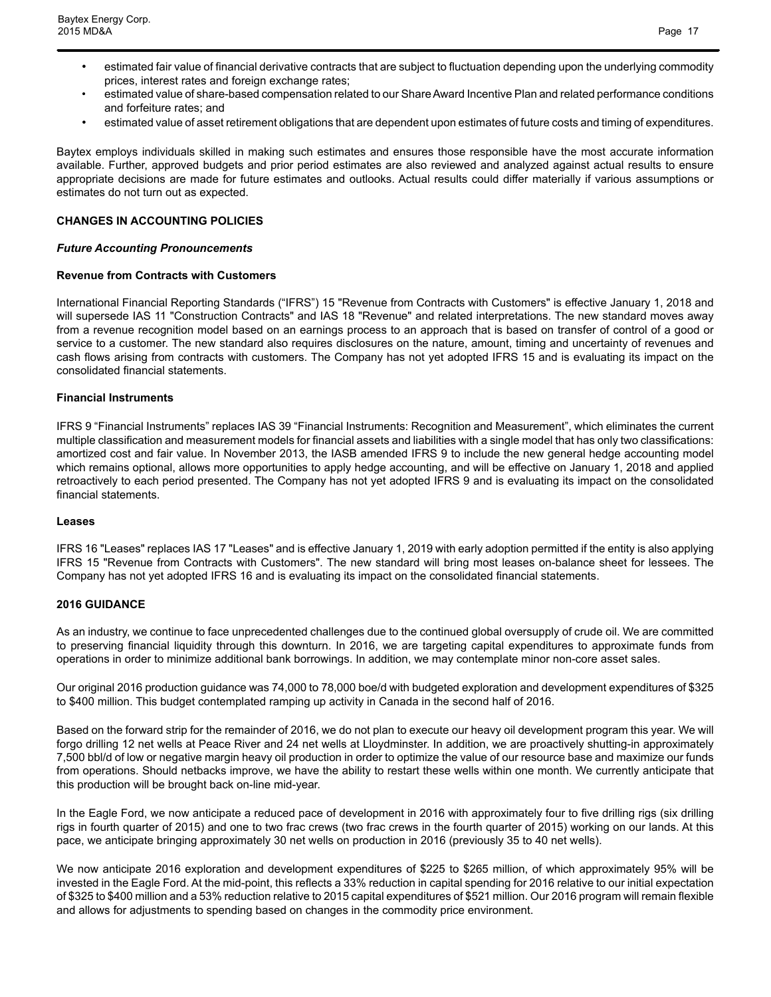- estimated fair value of financial derivative contracts that are subject to fluctuation depending upon the underlying commodity prices, interest rates and foreign exchange rates;
- estimated value of share-based compensation related to our Share Award Incentive Plan and related performance conditions and forfeiture rates; and
- estimated value of asset retirement obligations that are dependent upon estimates of future costs and timing of expenditures.

Baytex employs individuals skilled in making such estimates and ensures those responsible have the most accurate information available. Further, approved budgets and prior period estimates are also reviewed and analyzed against actual results to ensure appropriate decisions are made for future estimates and outlooks. Actual results could differ materially if various assumptions or estimates do not turn out as expected.

#### **CHANGES IN ACCOUNTING POLICIES**

#### *Future Accounting Pronouncements*

#### **Revenue from Contracts with Customers**

International Financial Reporting Standards ("IFRS") 15 "Revenue from Contracts with Customers" is effective January 1, 2018 and will supersede IAS 11 "Construction Contracts" and IAS 18 "Revenue" and related interpretations. The new standard moves away from a revenue recognition model based on an earnings process to an approach that is based on transfer of control of a good or service to a customer. The new standard also requires disclosures on the nature, amount, timing and uncertainty of revenues and cash flows arising from contracts with customers. The Company has not yet adopted IFRS 15 and is evaluating its impact on the consolidated financial statements.

#### **Financial Instruments**

IFRS 9 "Financial Instruments" replaces IAS 39 "Financial Instruments: Recognition and Measurement", which eliminates the current multiple classification and measurement models for financial assets and liabilities with a single model that has only two classifications: amortized cost and fair value. In November 2013, the IASB amended IFRS 9 to include the new general hedge accounting model which remains optional, allows more opportunities to apply hedge accounting, and will be effective on January 1, 2018 and applied retroactively to each period presented. The Company has not yet adopted IFRS 9 and is evaluating its impact on the consolidated financial statements.

#### **Leases**

IFRS 16 "Leases" replaces IAS 17 "Leases" and is effective January 1, 2019 with early adoption permitted if the entity is also applying IFRS 15 "Revenue from Contracts with Customers". The new standard will bring most leases on-balance sheet for lessees. The Company has not yet adopted IFRS 16 and is evaluating its impact on the consolidated financial statements.

#### **2016 GUIDANCE**

As an industry, we continue to face unprecedented challenges due to the continued global oversupply of crude oil. We are committed to preserving financial liquidity through this downturn. In 2016, we are targeting capital expenditures to approximate funds from operations in order to minimize additional bank borrowings. In addition, we may contemplate minor non-core asset sales.

Our original 2016 production guidance was 74,000 to 78,000 boe/d with budgeted exploration and development expenditures of \$325 to \$400 million. This budget contemplated ramping up activity in Canada in the second half of 2016.

Based on the forward strip for the remainder of 2016, we do not plan to execute our heavy oil development program this year. We will forgo drilling 12 net wells at Peace River and 24 net wells at Lloydminster. In addition, we are proactively shutting-in approximately 7,500 bbl/d of low or negative margin heavy oil production in order to optimize the value of our resource base and maximize our funds from operations. Should netbacks improve, we have the ability to restart these wells within one month. We currently anticipate that this production will be brought back on-line mid-year.

In the Eagle Ford, we now anticipate a reduced pace of development in 2016 with approximately four to five drilling rigs (six drilling rigs in fourth quarter of 2015) and one to two frac crews (two frac crews in the fourth quarter of 2015) working on our lands. At this pace, we anticipate bringing approximately 30 net wells on production in 2016 (previously 35 to 40 net wells).

We now anticipate 2016 exploration and development expenditures of \$225 to \$265 million, of which approximately 95% will be invested in the Eagle Ford. At the mid-point, this reflects a 33% reduction in capital spending for 2016 relative to our initial expectation of \$325 to \$400 million and a 53% reduction relative to 2015 capital expenditures of \$521 million. Our 2016 program will remain flexible and allows for adjustments to spending based on changes in the commodity price environment.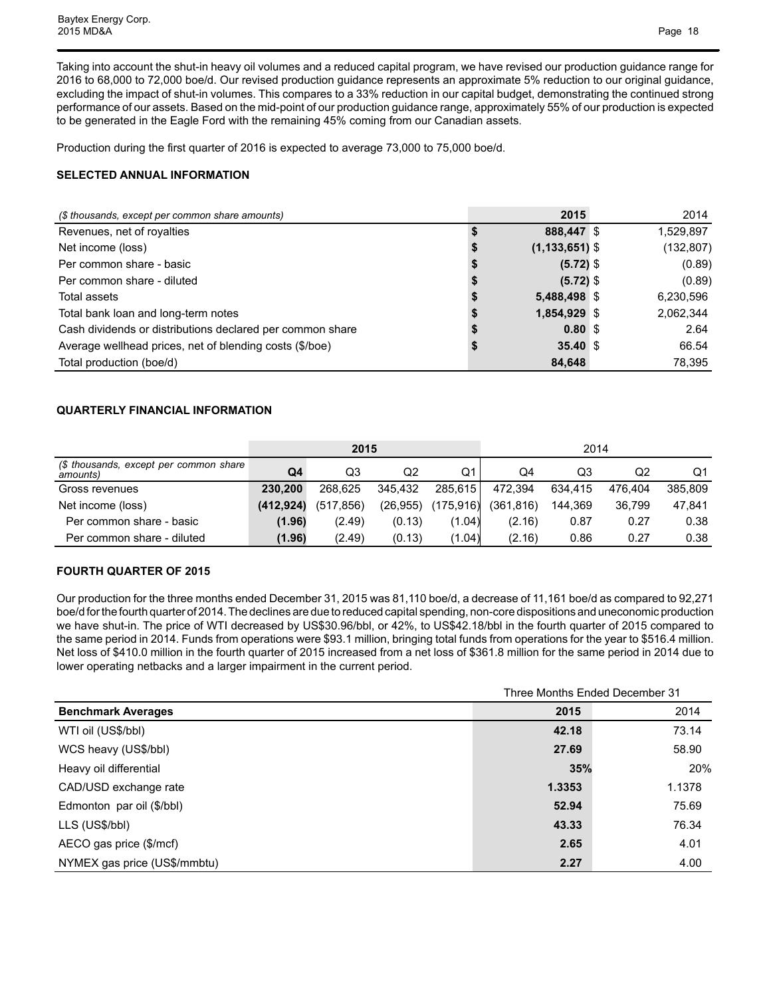Taking into account the shut-in heavy oil volumes and a reduced capital program, we have revised our production guidance range for 2016 to 68,000 to 72,000 boe/d. Our revised production guidance represents an approximate 5% reduction to our original guidance, excluding the impact of shut-in volumes. This compares to a 33% reduction in our capital budget, demonstrating the continued strong performance of our assets. Based on the mid-point of our production guidance range, approximately 55% of our production is expected to be generated in the Eagle Ford with the remaining 45% coming from our Canadian assets.

Production during the first quarter of 2016 is expected to average 73,000 to 75,000 boe/d.

## **SELECTED ANNUAL INFORMATION**

| (\$ thousands, except per common share amounts)           |   | 2015               | 2014       |
|-----------------------------------------------------------|---|--------------------|------------|
| Revenues, net of royalties                                |   | 888,447 \$         | 1,529,897  |
| Net income (loss)                                         | จ | $(1, 133, 651)$ \$ | (132, 807) |
| Per common share - basic                                  |   | $(5.72)$ \$        | (0.89)     |
| Per common share - diluted                                |   | $(5.72)$ \$        | (0.89)     |
| Total assets                                              |   | 5,488,498 \$       | 6,230,596  |
| Total bank loan and long-term notes                       |   | 1,854,929 \$       | 2,062,344  |
| Cash dividends or distributions declared per common share |   | 0.80 <sup>5</sup>  | 2.64       |
| Average wellhead prices, net of blending costs (\$/boe)   |   | $35.40~\text{\AA}$ | 66.54      |
| Total production (boe/d)                                  |   | 84,648             | 78,395     |

## **QUARTERLY FINANCIAL INFORMATION**

|                                                    |                | 2015       |           |            | 2014      |         |         |         |  |  |
|----------------------------------------------------|----------------|------------|-----------|------------|-----------|---------|---------|---------|--|--|
| (\$ thousands, except per common share<br>amounts) | Q <sub>4</sub> | Q3         | Q2        | Q1         | Q4        | Q3      | Q2      | Q1      |  |  |
| Gross revenues                                     | 230.200        | 268.625    | 345.432   | 285.615    | 472.394   | 634.415 | 476.404 | 385.809 |  |  |
| Net income (loss)                                  | (412, 924)     | (517, 856) | (26, 955) | (175, 916) | (361,816) | 144.369 | 36.799  | 47,841  |  |  |
| Per common share - basic                           | (1.96)         | (2.49)     | (0.13)    | (1.04)     | (2.16)    | 0.87    | 0.27    | 0.38    |  |  |
| Per common share - diluted                         | (1.96)         | (2.49)     | (0.13)    | (1.04)     | (2.16)    | 0.86    | 0.27    | 0.38    |  |  |

## **FOURTH QUARTER OF 2015**

Our production for the three months ended December 31, 2015 was 81,110 boe/d, a decrease of 11,161 boe/d as compared to 92,271 boe/d for the fourth quarter of 2014. The declines are due to reduced capital spending, non-core dispositions and uneconomic production we have shut-in. The price of WTI decreased by US\$30.96/bbl, or 42%, to US\$42.18/bbl in the fourth quarter of 2015 compared to the same period in 2014. Funds from operations were \$93.1 million, bringing total funds from operations for the year to \$516.4 million. Net loss of \$410.0 million in the fourth quarter of 2015 increased from a net loss of \$361.8 million for the same period in 2014 due to lower operating netbacks and a larger impairment in the current period.

|                              | Three Months Ended December 31 |        |  |  |  |  |  |
|------------------------------|--------------------------------|--------|--|--|--|--|--|
| <b>Benchmark Averages</b>    | 2015                           | 2014   |  |  |  |  |  |
| WTI oil (US\$/bbl)           | 42.18                          | 73.14  |  |  |  |  |  |
| WCS heavy (US\$/bbl)         | 27.69                          | 58.90  |  |  |  |  |  |
| Heavy oil differential       | 35%                            | 20%    |  |  |  |  |  |
| CAD/USD exchange rate        | 1.3353                         | 1.1378 |  |  |  |  |  |
| Edmonton par oil (\$/bbl)    | 52.94                          | 75.69  |  |  |  |  |  |
| LLS (US\$/bbl)               | 43.33                          | 76.34  |  |  |  |  |  |
| AECO gas price (\$/mcf)      | 2.65                           | 4.01   |  |  |  |  |  |
| NYMEX gas price (US\$/mmbtu) | 2.27                           | 4.00   |  |  |  |  |  |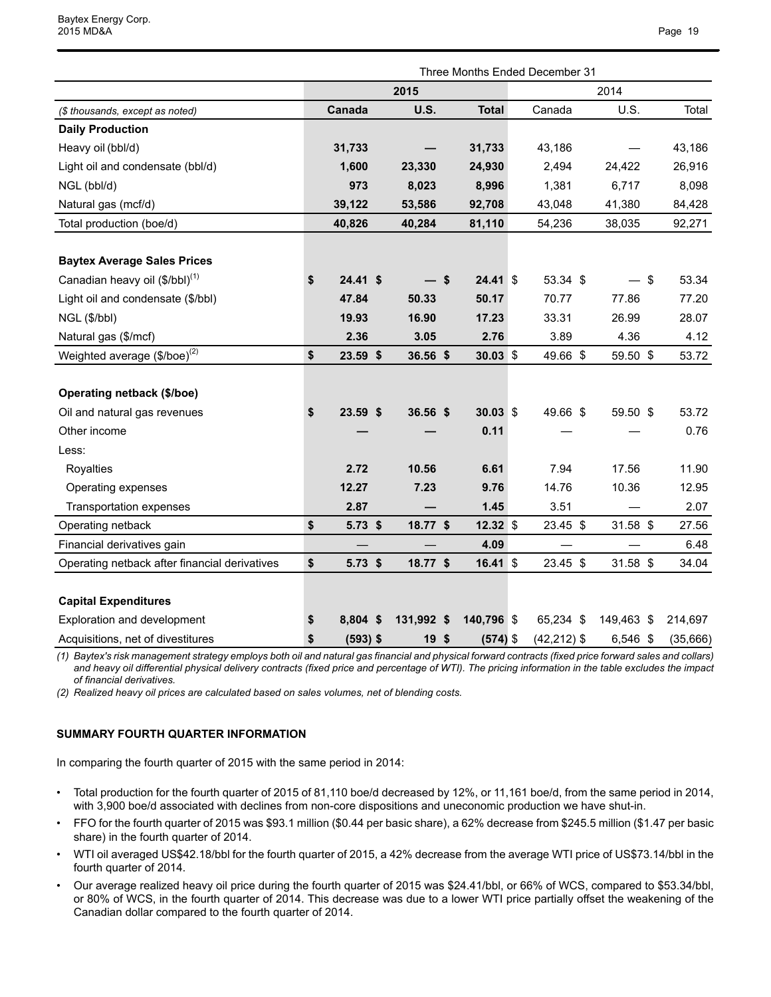|                                               | Three Months Ended December 31 |            |  |                 |      |              |  |                |  |            |      |          |
|-----------------------------------------------|--------------------------------|------------|--|-----------------|------|--------------|--|----------------|--|------------|------|----------|
|                                               | 2015                           |            |  |                 |      | 2014         |  |                |  |            |      |          |
| (\$ thousands, except as noted)               |                                | Canada     |  | <b>U.S.</b>     |      | <b>Total</b> |  | Canada         |  | U.S.       |      | Total    |
| <b>Daily Production</b>                       |                                |            |  |                 |      |              |  |                |  |            |      |          |
| Heavy oil (bbl/d)                             |                                | 31,733     |  |                 |      | 31,733       |  | 43,186         |  |            |      | 43,186   |
| Light oil and condensate (bbl/d)              |                                | 1,600      |  | 23,330          |      | 24,930       |  | 2,494          |  | 24,422     |      | 26,916   |
| NGL (bbl/d)                                   |                                | 973        |  | 8,023           |      | 8,996        |  | 1,381          |  | 6,717      |      | 8,098    |
| Natural gas (mcf/d)                           |                                | 39,122     |  | 53,586          |      | 92,708       |  | 43,048         |  | 41,380     |      | 84,428   |
| Total production (boe/d)                      |                                | 40,826     |  | 40,284          |      | 81,110       |  | 54,236         |  | 38,035     |      | 92,271   |
|                                               |                                |            |  |                 |      |              |  |                |  |            |      |          |
| <b>Baytex Average Sales Prices</b>            |                                |            |  |                 |      |              |  |                |  |            |      |          |
| Canadian heavy oil (\$/bbl) <sup>(1)</sup>    | \$                             | 24.41 S    |  |                 | - \$ | $24.41$ \$   |  | 53.34 \$       |  |            | - \$ | 53.34    |
| Light oil and condensate (\$/bbl)             |                                | 47.84      |  | 50.33           |      | 50.17        |  | 70.77          |  | 77.86      |      | 77.20    |
| NGL (\$/bbl)                                  |                                | 19.93      |  | 16.90           |      | 17.23        |  | 33.31          |  | 26.99      |      | 28.07    |
| Natural gas (\$/mcf)                          |                                | 2.36       |  | 3.05            |      | 2.76         |  | 3.89           |  | 4.36       |      | 4.12     |
| Weighted average $($/boe)^{(2)}$              | \$                             | 23.59 \$   |  | 36.56 \$        |      | $30.03$ \$   |  | 49.66 \$       |  | 59.50 \$   |      | 53.72    |
|                                               |                                |            |  |                 |      |              |  |                |  |            |      |          |
| Operating netback (\$/boe)                    |                                |            |  |                 |      |              |  |                |  |            |      |          |
| Oil and natural gas revenues                  | \$                             | 23.59 \$   |  | 36.56 \$        |      | $30.03$ \$   |  | 49.66 \$       |  | 59.50 \$   |      | 53.72    |
| Other income                                  |                                |            |  |                 |      | 0.11         |  |                |  |            |      | 0.76     |
| Less:                                         |                                |            |  |                 |      |              |  |                |  |            |      |          |
| Royalties                                     |                                | 2.72       |  | 10.56           |      | 6.61         |  | 7.94           |  | 17.56      |      | 11.90    |
| Operating expenses                            |                                | 12.27      |  | 7.23            |      | 9.76         |  | 14.76          |  | 10.36      |      | 12.95    |
| Transportation expenses                       |                                | 2.87       |  |                 |      | 1.45         |  | 3.51           |  |            |      | 2.07     |
| Operating netback                             | \$                             | $5.73$ \$  |  | 18.77 \$        |      | $12.32$ \$   |  | 23.45 \$       |  | 31.58 \$   |      | 27.56    |
| Financial derivatives gain                    |                                |            |  |                 |      | 4.09         |  |                |  |            |      | 6.48     |
| Operating netback after financial derivatives | \$                             | $5.73$ \$  |  | 18.77 \$        |      | 16.41 \$     |  | $23.45$ \$     |  | $31.58$ \$ |      | 34.04    |
|                                               |                                |            |  |                 |      |              |  |                |  |            |      |          |
| <b>Capital Expenditures</b>                   |                                |            |  |                 |      |              |  |                |  |            |      |          |
| Exploration and development                   | \$                             | 8.804 \$   |  | 131,992 \$      |      | 140,796 \$   |  | 65,234 \$      |  | 149,463 \$ |      | 214,697  |
| Acquisitions, net of divestitures             | \$                             | $(593)$ \$ |  | 19 <sup>5</sup> |      | $(574)$ \$   |  | $(42, 212)$ \$ |  | 6,546 \$   |      | (35,666) |

*(1) Baytex's risk management strategy employs both oil and natural gas financial and physical forward contracts (fixed price forward sales and collars) and heavy oil differential physical delivery contracts (fixed price and percentage of WTI). The pricing information in the table excludes the impact of financial derivatives.* 

*(2) Realized heavy oil prices are calculated based on sales volumes, net of blending costs.* 

#### **SUMMARY FOURTH QUARTER INFORMATION**

In comparing the fourth quarter of 2015 with the same period in 2014:

- Total production for the fourth quarter of 2015 of 81,110 boe/d decreased by 12%, or 11,161 boe/d, from the same period in 2014, with 3,900 boe/d associated with declines from non-core dispositions and uneconomic production we have shut-in.
- FFO for the fourth quarter of 2015 was \$93.1 million (\$0.44 per basic share), a 62% decrease from \$245.5 million (\$1.47 per basic share) in the fourth quarter of 2014.
- WTI oil averaged US\$42.18/bbl for the fourth quarter of 2015, a 42% decrease from the average WTI price of US\$73.14/bbl in the fourth quarter of 2014.
- Our average realized heavy oil price during the fourth quarter of 2015 was \$24.41/bbl, or 66% of WCS, compared to \$53.34/bbl, or 80% of WCS, in the fourth quarter of 2014. This decrease was due to a lower WTI price partially offset the weakening of the Canadian dollar compared to the fourth quarter of 2014.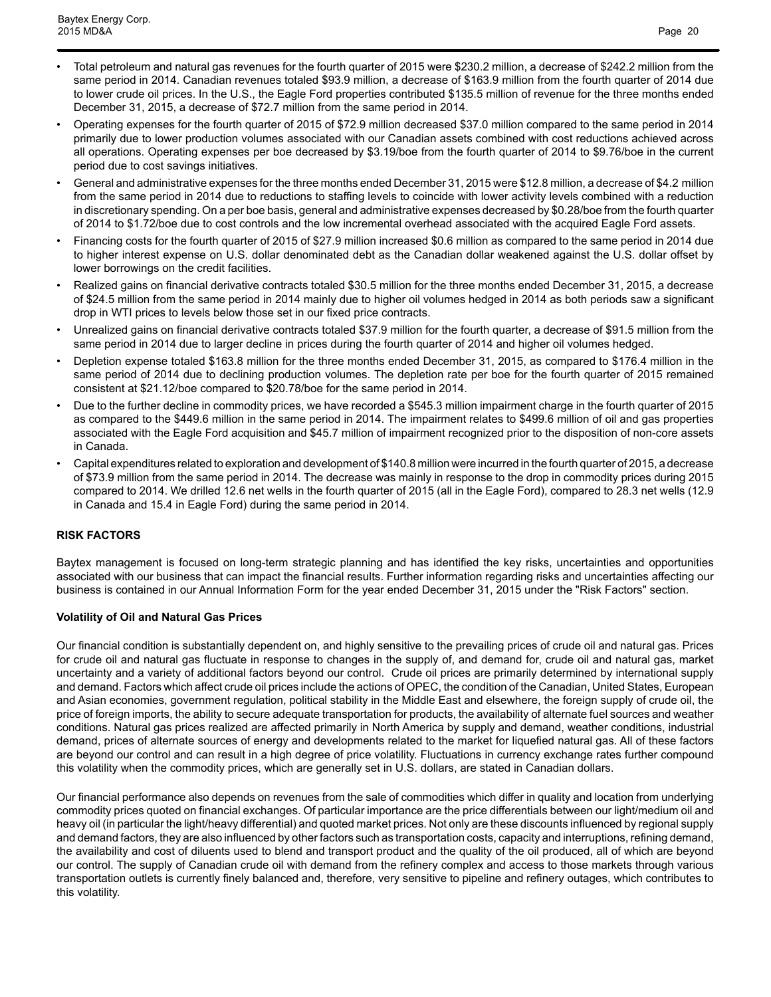- Total petroleum and natural gas revenues for the fourth quarter of 2015 were \$230.2 million, a decrease of \$242.2 million from the same period in 2014. Canadian revenues totaled \$93.9 million, a decrease of \$163.9 million from the fourth quarter of 2014 due to lower crude oil prices. In the U.S., the Eagle Ford properties contributed \$135.5 million of revenue for the three months ended December 31, 2015, a decrease of \$72.7 million from the same period in 2014.
- Operating expenses for the fourth quarter of 2015 of \$72.9 million decreased \$37.0 million compared to the same period in 2014 primarily due to lower production volumes associated with our Canadian assets combined with cost reductions achieved across all operations. Operating expenses per boe decreased by \$3.19/boe from the fourth quarter of 2014 to \$9.76/boe in the current period due to cost savings initiatives.
- General and administrative expenses for the three months ended December 31, 2015 were \$12.8 million, a decrease of \$4.2 million from the same period in 2014 due to reductions to staffing levels to coincide with lower activity levels combined with a reduction in discretionary spending. On a per boe basis, general and administrative expenses decreased by \$0.28/boe from the fourth quarter of 2014 to \$1.72/boe due to cost controls and the low incremental overhead associated with the acquired Eagle Ford assets.
- Financing costs for the fourth quarter of 2015 of \$27.9 million increased \$0.6 million as compared to the same period in 2014 due to higher interest expense on U.S. dollar denominated debt as the Canadian dollar weakened against the U.S. dollar offset by lower borrowings on the credit facilities.
- Realized gains on financial derivative contracts totaled \$30.5 million for the three months ended December 31, 2015, a decrease of \$24.5 million from the same period in 2014 mainly due to higher oil volumes hedged in 2014 as both periods saw a significant drop in WTI prices to levels below those set in our fixed price contracts.
- Unrealized gains on financial derivative contracts totaled \$37.9 million for the fourth quarter, a decrease of \$91.5 million from the same period in 2014 due to larger decline in prices during the fourth quarter of 2014 and higher oil volumes hedged.
- Depletion expense totaled \$163.8 million for the three months ended December 31, 2015, as compared to \$176.4 million in the same period of 2014 due to declining production volumes. The depletion rate per boe for the fourth quarter of 2015 remained consistent at \$21.12/boe compared to \$20.78/boe for the same period in 2014.
- Due to the further decline in commodity prices, we have recorded a \$545.3 million impairment charge in the fourth quarter of 2015 as compared to the \$449.6 million in the same period in 2014. The impairment relates to \$499.6 million of oil and gas properties associated with the Eagle Ford acquisition and \$45.7 million of impairment recognized prior to the disposition of non-core assets in Canada.
- Capital expenditures related to exploration and development of \$140.8 million were incurred in the fourth quarter of 2015, a decrease of \$73.9 million from the same period in 2014. The decrease was mainly in response to the drop in commodity prices during 2015 compared to 2014. We drilled 12.6 net wells in the fourth quarter of 2015 (all in the Eagle Ford), compared to 28.3 net wells (12.9 in Canada and 15.4 in Eagle Ford) during the same period in 2014.

## **RISK FACTORS**

Baytex management is focused on long-term strategic planning and has identified the key risks, uncertainties and opportunities associated with our business that can impact the financial results. Further information regarding risks and uncertainties affecting our business is contained in our Annual Information Form for the year ended December 31, 2015 under the "Risk Factors" section.

## **Volatility of Oil and Natural Gas Prices**

Our financial condition is substantially dependent on, and highly sensitive to the prevailing prices of crude oil and natural gas. Prices for crude oil and natural gas fluctuate in response to changes in the supply of, and demand for, crude oil and natural gas, market uncertainty and a variety of additional factors beyond our control. Crude oil prices are primarily determined by international supply and demand. Factors which affect crude oil prices include the actions of OPEC, the condition of the Canadian, United States, European and Asian economies, government regulation, political stability in the Middle East and elsewhere, the foreign supply of crude oil, the price of foreign imports, the ability to secure adequate transportation for products, the availability of alternate fuel sources and weather conditions. Natural gas prices realized are affected primarily in North America by supply and demand, weather conditions, industrial demand, prices of alternate sources of energy and developments related to the market for liquefied natural gas. All of these factors are beyond our control and can result in a high degree of price volatility. Fluctuations in currency exchange rates further compound this volatility when the commodity prices, which are generally set in U.S. dollars, are stated in Canadian dollars.

Our financial performance also depends on revenues from the sale of commodities which differ in quality and location from underlying commodity prices quoted on financial exchanges. Of particular importance are the price differentials between our light/medium oil and heavy oil (in particular the light/heavy differential) and quoted market prices. Not only are these discounts influenced by regional supply and demand factors, they are also influenced by other factors such as transportation costs, capacity and interruptions, refining demand, the availability and cost of diluents used to blend and transport product and the quality of the oil produced, all of which are beyond our control. The supply of Canadian crude oil with demand from the refinery complex and access to those markets through various transportation outlets is currently finely balanced and, therefore, very sensitive to pipeline and refinery outages, which contributes to this volatility.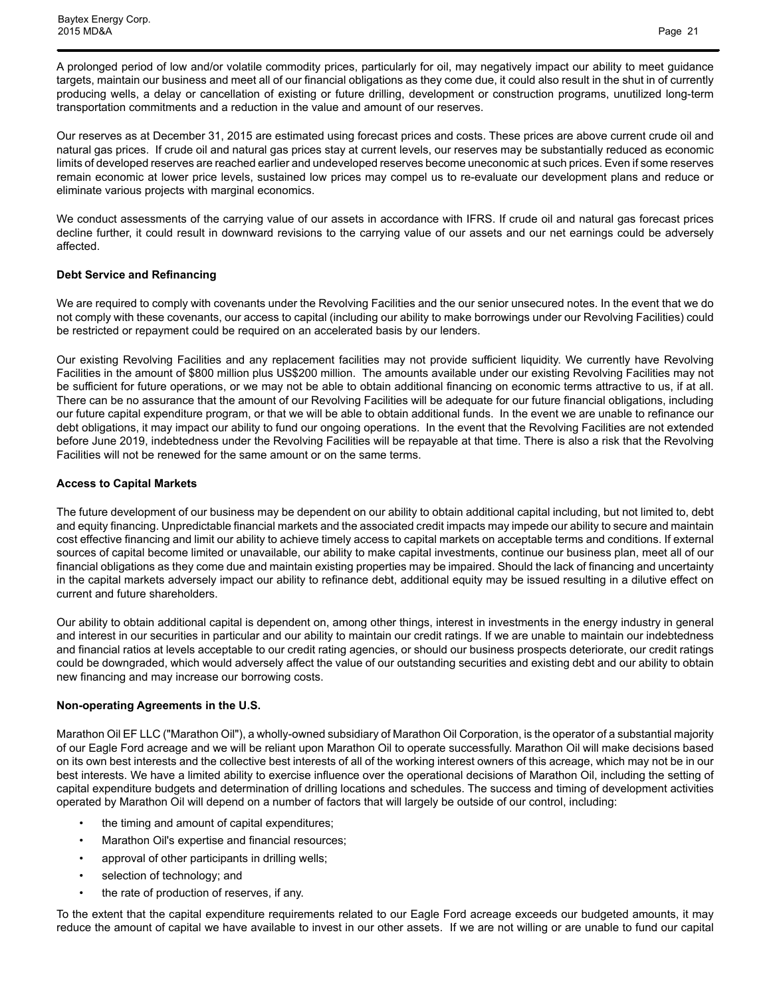A prolonged period of low and/or volatile commodity prices, particularly for oil, may negatively impact our ability to meet guidance targets, maintain our business and meet all of our financial obligations as they come due, it could also result in the shut in of currently producing wells, a delay or cancellation of existing or future drilling, development or construction programs, unutilized long-term transportation commitments and a reduction in the value and amount of our reserves.

Our reserves as at December 31, 2015 are estimated using forecast prices and costs. These prices are above current crude oil and natural gas prices. If crude oil and natural gas prices stay at current levels, our reserves may be substantially reduced as economic limits of developed reserves are reached earlier and undeveloped reserves become uneconomic at such prices. Even if some reserves remain economic at lower price levels, sustained low prices may compel us to re-evaluate our development plans and reduce or eliminate various projects with marginal economics.

We conduct assessments of the carrying value of our assets in accordance with IFRS. If crude oil and natural gas forecast prices decline further, it could result in downward revisions to the carrying value of our assets and our net earnings could be adversely affected.

#### **Debt Service and Refinancing**

We are required to comply with covenants under the Revolving Facilities and the our senior unsecured notes. In the event that we do not comply with these covenants, our access to capital (including our ability to make borrowings under our Revolving Facilities) could be restricted or repayment could be required on an accelerated basis by our lenders.

Our existing Revolving Facilities and any replacement facilities may not provide sufficient liquidity. We currently have Revolving Facilities in the amount of \$800 million plus US\$200 million. The amounts available under our existing Revolving Facilities may not be sufficient for future operations, or we may not be able to obtain additional financing on economic terms attractive to us, if at all. There can be no assurance that the amount of our Revolving Facilities will be adequate for our future financial obligations, including our future capital expenditure program, or that we will be able to obtain additional funds. In the event we are unable to refinance our debt obligations, it may impact our ability to fund our ongoing operations. In the event that the Revolving Facilities are not extended before June 2019, indebtedness under the Revolving Facilities will be repayable at that time. There is also a risk that the Revolving Facilities will not be renewed for the same amount or on the same terms.

## **Access to Capital Markets**

The future development of our business may be dependent on our ability to obtain additional capital including, but not limited to, debt and equity financing. Unpredictable financial markets and the associated credit impacts may impede our ability to secure and maintain cost effective financing and limit our ability to achieve timely access to capital markets on acceptable terms and conditions. If external sources of capital become limited or unavailable, our ability to make capital investments, continue our business plan, meet all of our financial obligations as they come due and maintain existing properties may be impaired. Should the lack of financing and uncertainty in the capital markets adversely impact our ability to refinance debt, additional equity may be issued resulting in a dilutive effect on current and future shareholders.

Our ability to obtain additional capital is dependent on, among other things, interest in investments in the energy industry in general and interest in our securities in particular and our ability to maintain our credit ratings. If we are unable to maintain our indebtedness and financial ratios at levels acceptable to our credit rating agencies, or should our business prospects deteriorate, our credit ratings could be downgraded, which would adversely affect the value of our outstanding securities and existing debt and our ability to obtain new financing and may increase our borrowing costs.

## **Non-operating Agreements in the U.S.**

Marathon Oil EF LLC ("Marathon Oil"), a wholly-owned subsidiary of Marathon Oil Corporation, is the operator of a substantial majority of our Eagle Ford acreage and we will be reliant upon Marathon Oil to operate successfully. Marathon Oil will make decisions based on its own best interests and the collective best interests of all of the working interest owners of this acreage, which may not be in our best interests. We have a limited ability to exercise influence over the operational decisions of Marathon Oil, including the setting of capital expenditure budgets and determination of drilling locations and schedules. The success and timing of development activities operated by Marathon Oil will depend on a number of factors that will largely be outside of our control, including:

- the timing and amount of capital expenditures;
- Marathon Oil's expertise and financial resources;
- approval of other participants in drilling wells;
- selection of technology; and
- the rate of production of reserves, if any.

To the extent that the capital expenditure requirements related to our Eagle Ford acreage exceeds our budgeted amounts, it may reduce the amount of capital we have available to invest in our other assets. If we are not willing or are unable to fund our capital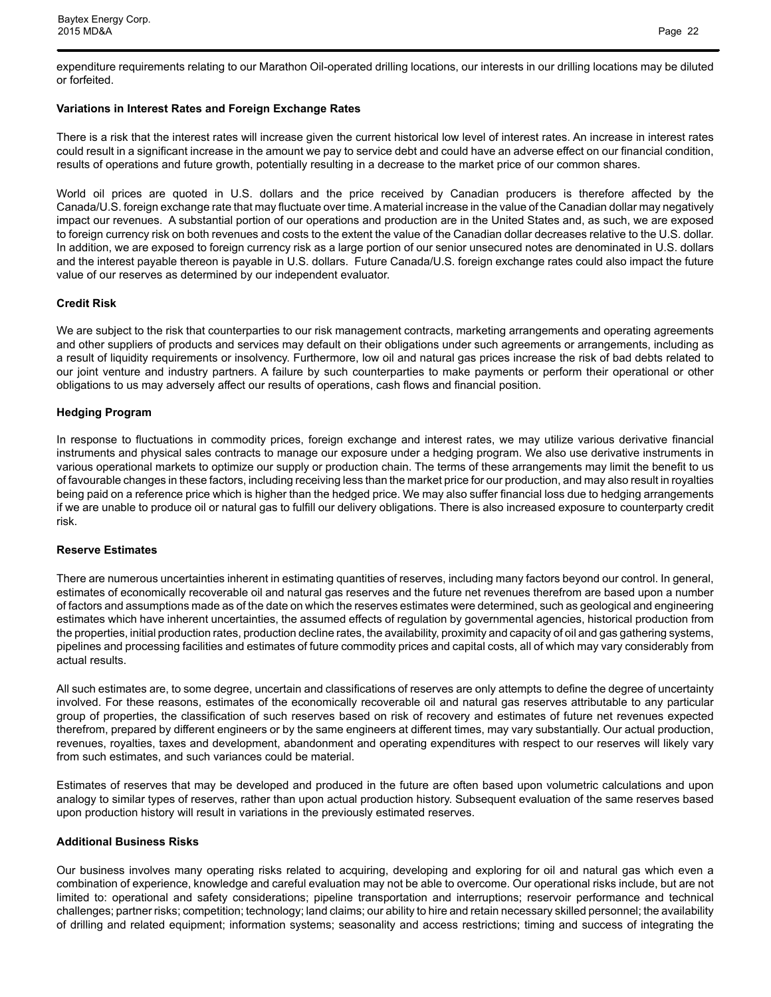expenditure requirements relating to our Marathon Oil-operated drilling locations, our interests in our drilling locations may be diluted or forfeited.

#### **Variations in Interest Rates and Foreign Exchange Rates**

There is a risk that the interest rates will increase given the current historical low level of interest rates. An increase in interest rates could result in a significant increase in the amount we pay to service debt and could have an adverse effect on our financial condition, results of operations and future growth, potentially resulting in a decrease to the market price of our common shares.

World oil prices are quoted in U.S. dollars and the price received by Canadian producers is therefore affected by the Canada/U.S. foreign exchange rate that may fluctuate over time. A material increase in the value of the Canadian dollar may negatively impact our revenues. A substantial portion of our operations and production are in the United States and, as such, we are exposed to foreign currency risk on both revenues and costs to the extent the value of the Canadian dollar decreases relative to the U.S. dollar. In addition, we are exposed to foreign currency risk as a large portion of our senior unsecured notes are denominated in U.S. dollars and the interest payable thereon is payable in U.S. dollars. Future Canada/U.S. foreign exchange rates could also impact the future value of our reserves as determined by our independent evaluator.

#### **Credit Risk**

We are subject to the risk that counterparties to our risk management contracts, marketing arrangements and operating agreements and other suppliers of products and services may default on their obligations under such agreements or arrangements, including as a result of liquidity requirements or insolvency. Furthermore, low oil and natural gas prices increase the risk of bad debts related to our joint venture and industry partners. A failure by such counterparties to make payments or perform their operational or other obligations to us may adversely affect our results of operations, cash flows and financial position.

#### **Hedging Program**

In response to fluctuations in commodity prices, foreign exchange and interest rates, we may utilize various derivative financial instruments and physical sales contracts to manage our exposure under a hedging program. We also use derivative instruments in various operational markets to optimize our supply or production chain. The terms of these arrangements may limit the benefit to us of favourable changes in these factors, including receiving less than the market price for our production, and may also result in royalties being paid on a reference price which is higher than the hedged price. We may also suffer financial loss due to hedging arrangements if we are unable to produce oil or natural gas to fulfill our delivery obligations. There is also increased exposure to counterparty credit risk.

#### **Reserve Estimates**

There are numerous uncertainties inherent in estimating quantities of reserves, including many factors beyond our control. In general, estimates of economically recoverable oil and natural gas reserves and the future net revenues therefrom are based upon a number of factors and assumptions made as of the date on which the reserves estimates were determined, such as geological and engineering estimates which have inherent uncertainties, the assumed effects of regulation by governmental agencies, historical production from the properties, initial production rates, production decline rates, the availability, proximity and capacity of oil and gas gathering systems, pipelines and processing facilities and estimates of future commodity prices and capital costs, all of which may vary considerably from actual results.

All such estimates are, to some degree, uncertain and classifications of reserves are only attempts to define the degree of uncertainty involved. For these reasons, estimates of the economically recoverable oil and natural gas reserves attributable to any particular group of properties, the classification of such reserves based on risk of recovery and estimates of future net revenues expected therefrom, prepared by different engineers or by the same engineers at different times, may vary substantially. Our actual production, revenues, royalties, taxes and development, abandonment and operating expenditures with respect to our reserves will likely vary from such estimates, and such variances could be material.

Estimates of reserves that may be developed and produced in the future are often based upon volumetric calculations and upon analogy to similar types of reserves, rather than upon actual production history. Subsequent evaluation of the same reserves based upon production history will result in variations in the previously estimated reserves.

#### **Additional Business Risks**

Our business involves many operating risks related to acquiring, developing and exploring for oil and natural gas which even a combination of experience, knowledge and careful evaluation may not be able to overcome. Our operational risks include, but are not limited to: operational and safety considerations; pipeline transportation and interruptions; reservoir performance and technical challenges; partner risks; competition; technology; land claims; our ability to hire and retain necessary skilled personnel; the availability of drilling and related equipment; information systems; seasonality and access restrictions; timing and success of integrating the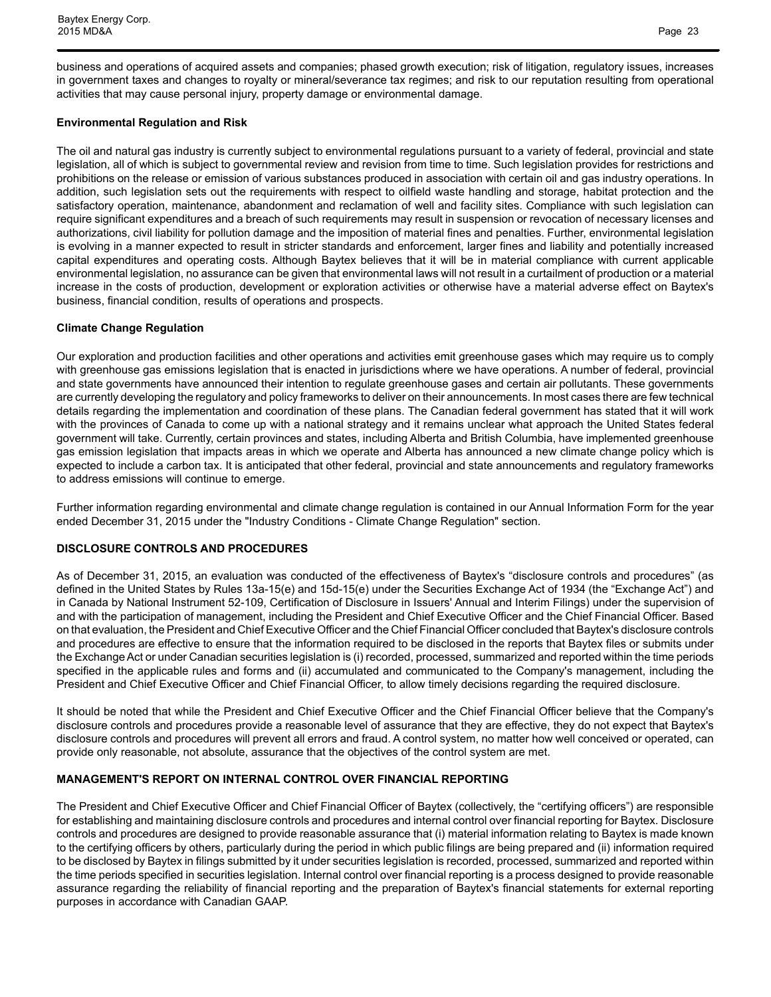business and operations of acquired assets and companies; phased growth execution; risk of litigation, regulatory issues, increases in government taxes and changes to royalty or mineral/severance tax regimes; and risk to our reputation resulting from operational activities that may cause personal injury, property damage or environmental damage.

### **Environmental Regulation and Risk**

The oil and natural gas industry is currently subject to environmental regulations pursuant to a variety of federal, provincial and state legislation, all of which is subject to governmental review and revision from time to time. Such legislation provides for restrictions and prohibitions on the release or emission of various substances produced in association with certain oil and gas industry operations. In addition, such legislation sets out the requirements with respect to oilfield waste handling and storage, habitat protection and the satisfactory operation, maintenance, abandonment and reclamation of well and facility sites. Compliance with such legislation can require significant expenditures and a breach of such requirements may result in suspension or revocation of necessary licenses and authorizations, civil liability for pollution damage and the imposition of material fines and penalties. Further, environmental legislation is evolving in a manner expected to result in stricter standards and enforcement, larger fines and liability and potentially increased capital expenditures and operating costs. Although Baytex believes that it will be in material compliance with current applicable environmental legislation, no assurance can be given that environmental laws will not result in a curtailment of production or a material increase in the costs of production, development or exploration activities or otherwise have a material adverse effect on Baytex's business, financial condition, results of operations and prospects.

## **Climate Change Regulation**

Our exploration and production facilities and other operations and activities emit greenhouse gases which may require us to comply with greenhouse gas emissions legislation that is enacted in jurisdictions where we have operations. A number of federal, provincial and state governments have announced their intention to regulate greenhouse gases and certain air pollutants. These governments are currently developing the regulatory and policy frameworks to deliver on their announcements. In most cases there are few technical details regarding the implementation and coordination of these plans. The Canadian federal government has stated that it will work with the provinces of Canada to come up with a national strategy and it remains unclear what approach the United States federal government will take. Currently, certain provinces and states, including Alberta and British Columbia, have implemented greenhouse gas emission legislation that impacts areas in which we operate and Alberta has announced a new climate change policy which is expected to include a carbon tax. It is anticipated that other federal, provincial and state announcements and regulatory frameworks to address emissions will continue to emerge.

Further information regarding environmental and climate change regulation is contained in our Annual Information Form for the year ended December 31, 2015 under the "Industry Conditions - Climate Change Regulation" section.

#### **DISCLOSURE CONTROLS AND PROCEDURES**

As of December 31, 2015, an evaluation was conducted of the effectiveness of Baytex's "disclosure controls and procedures" (as defined in the United States by Rules 13a-15(e) and 15d-15(e) under the Securities Exchange Act of 1934 (the "Exchange Act") and in Canada by National Instrument 52-109, Certification of Disclosure in Issuers' Annual and Interim Filings) under the supervision of and with the participation of management, including the President and Chief Executive Officer and the Chief Financial Officer. Based on that evaluation, the President and Chief Executive Officer and the Chief Financial Officer concluded that Baytex's disclosure controls and procedures are effective to ensure that the information required to be disclosed in the reports that Baytex files or submits under the Exchange Act or under Canadian securities legislation is (i) recorded, processed, summarized and reported within the time periods specified in the applicable rules and forms and (ii) accumulated and communicated to the Company's management, including the President and Chief Executive Officer and Chief Financial Officer, to allow timely decisions regarding the required disclosure.

It should be noted that while the President and Chief Executive Officer and the Chief Financial Officer believe that the Company's disclosure controls and procedures provide a reasonable level of assurance that they are effective, they do not expect that Baytex's disclosure controls and procedures will prevent all errors and fraud. A control system, no matter how well conceived or operated, can provide only reasonable, not absolute, assurance that the objectives of the control system are met.

## **MANAGEMENT'S REPORT ON INTERNAL CONTROL OVER FINANCIAL REPORTING**

The President and Chief Executive Officer and Chief Financial Officer of Baytex (collectively, the "certifying officers") are responsible for establishing and maintaining disclosure controls and procedures and internal control over financial reporting for Baytex. Disclosure controls and procedures are designed to provide reasonable assurance that (i) material information relating to Baytex is made known to the certifying officers by others, particularly during the period in which public filings are being prepared and (ii) information required to be disclosed by Baytex in filings submitted by it under securities legislation is recorded, processed, summarized and reported within the time periods specified in securities legislation. Internal control over financial reporting is a process designed to provide reasonable assurance regarding the reliability of financial reporting and the preparation of Baytex's financial statements for external reporting purposes in accordance with Canadian GAAP.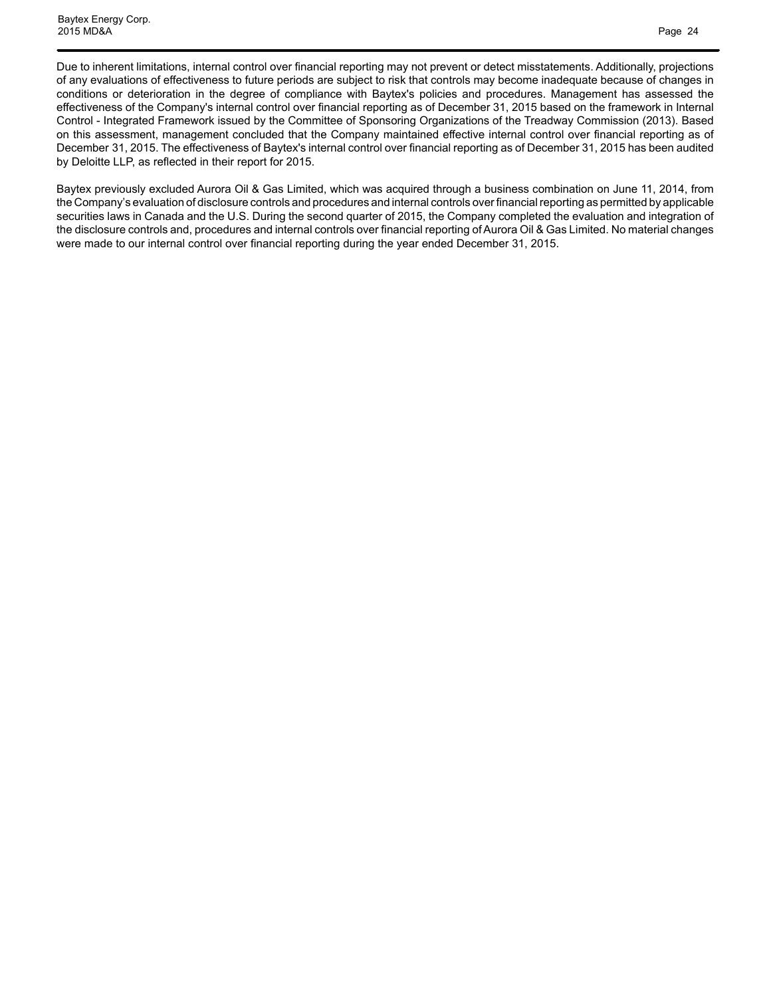Due to inherent limitations, internal control over financial reporting may not prevent or detect misstatements. Additionally, projections of any evaluations of effectiveness to future periods are subject to risk that controls may become inadequate because of changes in conditions or deterioration in the degree of compliance with Baytex's policies and procedures. Management has assessed the effectiveness of the Company's internal control over financial reporting as of December 31, 2015 based on the framework in Internal Control - Integrated Framework issued by the Committee of Sponsoring Organizations of the Treadway Commission (2013). Based on this assessment, management concluded that the Company maintained effective internal control over financial reporting as of December 31, 2015. The effectiveness of Baytex's internal control over financial reporting as of December 31, 2015 has been audited by Deloitte LLP, as reflected in their report for 2015.

Baytex previously excluded Aurora Oil & Gas Limited, which was acquired through a business combination on June 11, 2014, from the Company's evaluation of disclosure controls and procedures and internal controls over financial reporting as permitted by applicable securities laws in Canada and the U.S. During the second quarter of 2015, the Company completed the evaluation and integration of the disclosure controls and, procedures and internal controls over financial reporting of Aurora Oil & Gas Limited. No material changes were made to our internal control over financial reporting during the year ended December 31, 2015.